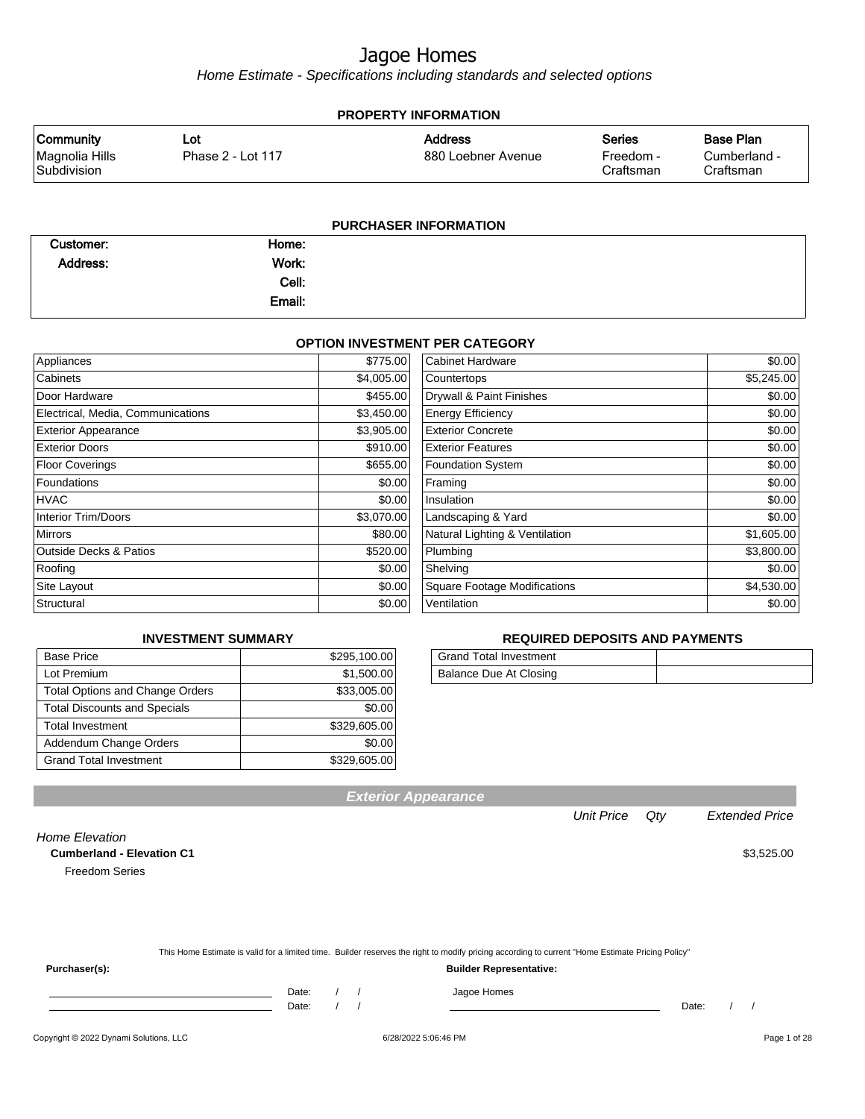Home Estimate - Specifications including standards and selected options

| <b>PROPERTY INFORMATION</b>   |                   |                       |                        |                           |  |
|-------------------------------|-------------------|-----------------------|------------------------|---------------------------|--|
| <b>Community</b>              | Lot               | <b>Address</b>        | <b>Series</b>          | Base Plan                 |  |
| Magnolia Hills<br>Subdivision | Phase 2 - Lot 117 | 880 Loebner Avenue    | Freedom -<br>Craftsman | Cumberland -<br>Craftsman |  |
|                               |                   |                       |                        |                           |  |
|                               |                   | PURCHASER INFORMATION |                        |                           |  |

#### **OPTION INVESTMENT PER CATEGORY**

| Appliances                        | \$775.00   | <b>Cabinet Hardware</b>             | \$0.00     |
|-----------------------------------|------------|-------------------------------------|------------|
| Cabinets                          | \$4,005.00 | Countertops                         | \$5,245.00 |
| Door Hardware                     | \$455.00   | Drywall & Paint Finishes            | \$0.00     |
| Electrical, Media, Communications | \$3,450.00 | <b>Energy Efficiency</b>            | \$0.00     |
| <b>Exterior Appearance</b>        | \$3,905.00 | <b>Exterior Concrete</b>            | \$0.00     |
| <b>Exterior Doors</b>             | \$910.00   | <b>Exterior Features</b>            | \$0.00     |
| Floor Coverings                   | \$655.00   | <b>Foundation System</b>            | \$0.00     |
| Foundations                       | \$0.00     | Framing                             | \$0.00     |
| <b>HVAC</b>                       | \$0.00     | Insulation                          | \$0.00     |
| Interior Trim/Doors               | \$3,070.00 | Landscaping & Yard                  | \$0.00     |
| Mirrors                           | \$80.00    | Natural Lighting & Ventilation      | \$1,605.00 |
| <b>Outside Decks &amp; Patios</b> | \$520.00   | Plumbing                            | \$3,800.00 |
| Roofing                           | \$0.00     | Shelving                            | \$0.00     |
| Site Layout                       | \$0.00     | <b>Square Footage Modifications</b> | \$4,530.00 |
| Structural                        | \$0.00     | Ventilation                         | \$0.00     |
|                                   |            |                                     |            |

#### **INVESTMENT SUMMARY**

| <b>Base Price</b>                      | \$295,100.00 |
|----------------------------------------|--------------|
| Lot Premium                            | \$1,500.00   |
| <b>Total Options and Change Orders</b> | \$33,005.00  |
| <b>Total Discounts and Specials</b>    | \$0.00       |
| <b>Total Investment</b>                | \$329,605.00 |
| Addendum Change Orders                 | \$0.00       |
| <b>Grand Total Investment</b>          | \$329,605.00 |

#### **REQUIRED DEPOSITS AND PAYMENTS**

| <b>Grand Total Investment</b> |  |
|-------------------------------|--|
| Balance Due At Closing        |  |

|                                  | Unit Price Qty | <b>Extended Price</b> |
|----------------------------------|----------------|-----------------------|
| ome Elevation                    |                |                       |
| <b>Cumberland - Elevation C1</b> |                | \$3,525.00            |
| <b>Freedom Series</b>            |                |                       |
|                                  |                |                       |
|                                  |                |                       |

**Exterior Appearance**

This Home Estimate is valid for a limited time. Builder reserves the right to modify pricing according to current "Home Estimate Pricing Policy"

**Purchaser(s): Builder Representative:**

Home Elevation

Date: / / Date: / /

Date: / / / Jagoe Homes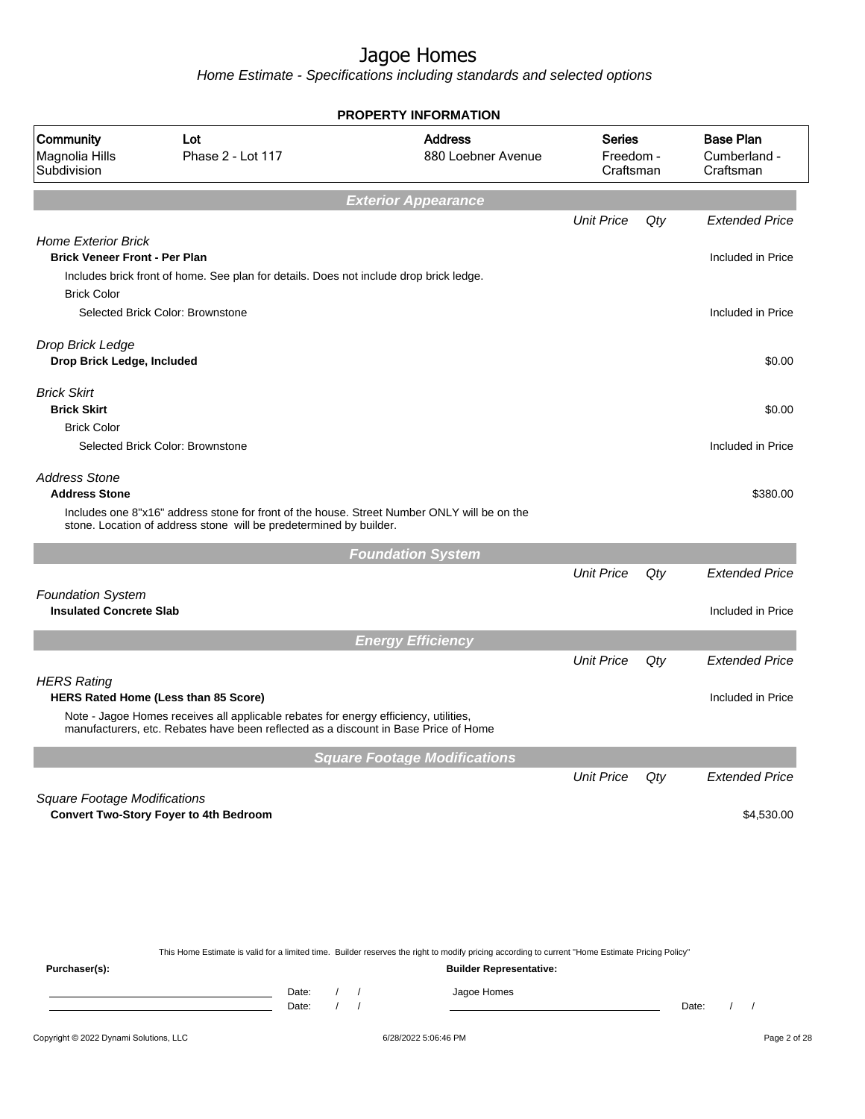Home Estimate - Specifications including standards and selected options

|                                                                                          |                                                                                                                                                                                                                            | <b>PROPERTY INFORMATION</b>                                                                                                                                                        |                                         |     |                                               |
|------------------------------------------------------------------------------------------|----------------------------------------------------------------------------------------------------------------------------------------------------------------------------------------------------------------------------|------------------------------------------------------------------------------------------------------------------------------------------------------------------------------------|-----------------------------------------|-----|-----------------------------------------------|
| Community<br>Magnolia Hills<br>Subdivision                                               | Lot<br>Phase 2 - Lot 117                                                                                                                                                                                                   | <b>Address</b><br>880 Loebner Avenue                                                                                                                                               | <b>Series</b><br>Freedom -<br>Craftsman |     | <b>Base Plan</b><br>Cumberland -<br>Craftsman |
|                                                                                          |                                                                                                                                                                                                                            | <b>Exterior Appearance</b>                                                                                                                                                         |                                         |     |                                               |
|                                                                                          |                                                                                                                                                                                                                            |                                                                                                                                                                                    | <b>Unit Price</b>                       | Qty | <b>Extended Price</b>                         |
| <b>Home Exterior Brick</b><br><b>Brick Veneer Front - Per Plan</b><br><b>Brick Color</b> | Includes brick front of home. See plan for details. Does not include drop brick ledge.                                                                                                                                     |                                                                                                                                                                                    |                                         |     | Included in Price                             |
|                                                                                          | Selected Brick Color: Brownstone                                                                                                                                                                                           |                                                                                                                                                                                    |                                         |     | Included in Price                             |
| Drop Brick Ledge<br>Drop Brick Ledge, Included                                           |                                                                                                                                                                                                                            |                                                                                                                                                                                    |                                         |     | \$0.00                                        |
| <b>Brick Skirt</b><br><b>Brick Skirt</b>                                                 |                                                                                                                                                                                                                            |                                                                                                                                                                                    |                                         |     | \$0.00                                        |
| <b>Brick Color</b>                                                                       | Selected Brick Color: Brownstone                                                                                                                                                                                           |                                                                                                                                                                                    |                                         |     | Included in Price                             |
| <b>Address Stone</b><br><b>Address Stone</b>                                             | Includes one 8"x16" address stone for front of the house. Street Number ONLY will be on the<br>stone. Location of address stone will be predetermined by builder.                                                          |                                                                                                                                                                                    |                                         |     | \$380.00                                      |
|                                                                                          |                                                                                                                                                                                                                            | <b>Foundation System</b>                                                                                                                                                           |                                         |     |                                               |
|                                                                                          |                                                                                                                                                                                                                            |                                                                                                                                                                                    | <b>Unit Price</b>                       | Qty | <b>Extended Price</b>                         |
| <b>Foundation System</b><br><b>Insulated Concrete Slab</b>                               |                                                                                                                                                                                                                            |                                                                                                                                                                                    |                                         |     | Included in Price                             |
|                                                                                          |                                                                                                                                                                                                                            | <b>Energy Efficiency</b>                                                                                                                                                           |                                         |     |                                               |
|                                                                                          |                                                                                                                                                                                                                            |                                                                                                                                                                                    | <b>Unit Price</b>                       | Qty | <b>Extended Price</b>                         |
| <b>HERS Rating</b>                                                                       | <b>HERS Rated Home (Less than 85 Score)</b><br>Note - Jagoe Homes receives all applicable rebates for energy efficiency, utilities,<br>manufacturers, etc. Rebates have been reflected as a discount in Base Price of Home |                                                                                                                                                                                    |                                         |     | Included in Price                             |
|                                                                                          |                                                                                                                                                                                                                            | <b>Square Footage Modifications</b>                                                                                                                                                |                                         |     |                                               |
|                                                                                          |                                                                                                                                                                                                                            |                                                                                                                                                                                    | <b>Unit Price</b>                       | Qty | <b>Extended Price</b>                         |
| <b>Square Footage Modifications</b>                                                      | <b>Convert Two-Story Foyer to 4th Bedroom</b>                                                                                                                                                                              |                                                                                                                                                                                    |                                         |     | \$4,530.00                                    |
|                                                                                          |                                                                                                                                                                                                                            |                                                                                                                                                                                    |                                         |     |                                               |
|                                                                                          |                                                                                                                                                                                                                            |                                                                                                                                                                                    |                                         |     |                                               |
| Purchaser(s):                                                                            |                                                                                                                                                                                                                            | This Home Estimate is valid for a limited time. Builder reserves the right to modify pricing according to current "Home Estimate Pricing Policy"<br><b>Builder Representative:</b> |                                         |     |                                               |

Copyright © 2022 Dynami Solutions, LLC <br>
6/28/2022 5:06:46 PM 6/28/2022 5:06:46 PM Page 2 of 28

Date: / / Jagoe Homes<br>Date: / / Jagoe Homes

Date: / / **Date: / / 2006** Date: / / **Date: / / / 2006** Date: / / / 2006 Date: / / / 2006 Date: / / / 2006 Date: / / / 2006 Date: / / / 2006 Date: / / / 2006 Date: / / / 2006 Date: / / / 2006 Date: / / / 2006 Date: / 2007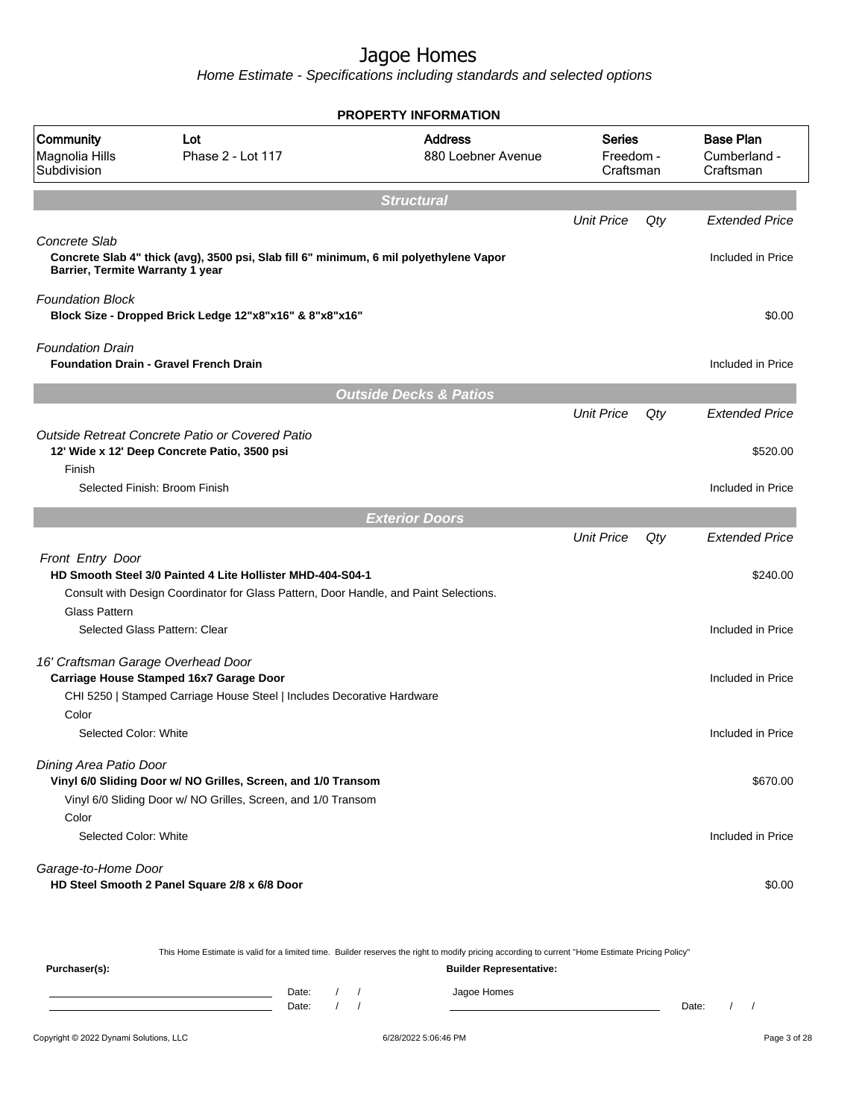Home Estimate - Specifications including standards and selected options

| <b>PROPERTY INFORMATION</b>                       |                                                                                                 |                                      |                                  |     |                                               |  |
|---------------------------------------------------|-------------------------------------------------------------------------------------------------|--------------------------------------|----------------------------------|-----|-----------------------------------------------|--|
| Community<br>Magnolia Hills<br>Subdivision        | Lot<br>Phase 2 - Lot 117                                                                        | <b>Address</b><br>880 Loebner Avenue | Series<br>Freedom -<br>Craftsman |     | <b>Base Plan</b><br>Cumberland -<br>Craftsman |  |
|                                                   |                                                                                                 | <b>Structural</b>                    |                                  |     |                                               |  |
|                                                   |                                                                                                 |                                      | <b>Unit Price</b>                | Qty | <b>Extended Price</b>                         |  |
| Concrete Slab<br>Barrier, Termite Warranty 1 year | Concrete Slab 4" thick (avg), 3500 psi, Slab fill 6" minimum, 6 mil polyethylene Vapor          |                                      |                                  |     | Included in Price                             |  |
| <b>Foundation Block</b>                           | Block Size - Dropped Brick Ledge 12"x8"x16" & 8"x8"x16"                                         |                                      |                                  |     | \$0.00                                        |  |
| <b>Foundation Drain</b>                           | <b>Foundation Drain - Gravel French Drain</b>                                                   |                                      |                                  |     | Included in Price                             |  |
|                                                   |                                                                                                 | <b>Outside Decks &amp; Patios</b>    |                                  |     |                                               |  |
|                                                   |                                                                                                 |                                      | <b>Unit Price</b>                | Qty | <b>Extended Price</b>                         |  |
|                                                   | Outside Retreat Concrete Patio or Covered Patio<br>12' Wide x 12' Deep Concrete Patio, 3500 psi |                                      |                                  |     | \$520.00                                      |  |
| Finish                                            | Selected Finish: Broom Finish                                                                   |                                      |                                  |     | Included in Price                             |  |
|                                                   |                                                                                                 | <b>Exterior Doors</b>                |                                  |     |                                               |  |
|                                                   |                                                                                                 |                                      | <b>Unit Price</b>                | Qty | Extended Price                                |  |
| Front Entry Door                                  | HD Smooth Steel 3/0 Painted 4 Lite Hollister MHD-404-S04-1                                      |                                      |                                  |     | \$240.00                                      |  |
| <b>Glass Pattern</b>                              | Consult with Design Coordinator for Glass Pattern, Door Handle, and Paint Selections.           |                                      |                                  |     |                                               |  |
|                                                   | Selected Glass Pattern: Clear                                                                   |                                      |                                  |     | Included in Price                             |  |
| 16' Craftsman Garage Overhead Door                | Carriage House Stamped 16x7 Garage Door                                                         |                                      |                                  |     | Included in Price                             |  |
| Color                                             | CHI 5250   Stamped Carriage House Steel   Includes Decorative Hardware                          |                                      |                                  |     |                                               |  |
| Selected Color: White                             |                                                                                                 |                                      |                                  |     | Included in Price                             |  |
| Dining Area Patio Door                            | Vinyl 6/0 Sliding Door w/ NO Grilles, Screen, and 1/0 Transom                                   |                                      |                                  |     | \$670.00                                      |  |
|                                                   | Vinyl 6/0 Sliding Door w/ NO Grilles, Screen, and 1/0 Transom                                   |                                      |                                  |     |                                               |  |
| Color<br>Selected Color: White                    |                                                                                                 |                                      |                                  |     | Included in Price                             |  |
| Garage-to-Home Door                               | HD Steel Smooth 2 Panel Square 2/8 x 6/8 Door                                                   |                                      |                                  |     | \$0.00                                        |  |

This Home Estimate is valid for a limited time. Builder reserves the right to modify pricing according to current "Home Estimate Pricing Policy"

**Purchaser(s): Builder Representative:** Date: / / Jagoe Homes<br>Date: / / Jagoe Homes Date: / / **Date: / / 2006** Date: / / / Date: / / /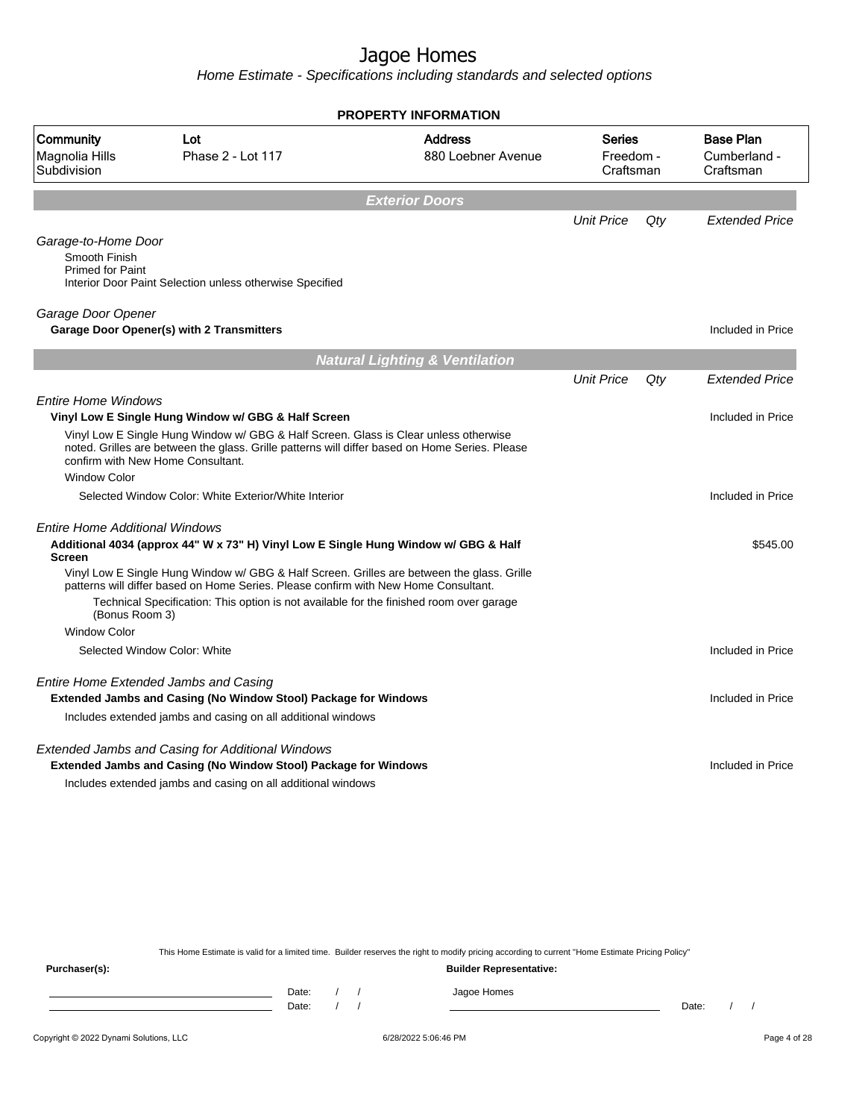Home Estimate - Specifications including standards and selected options

| <b>PROPERTY INFORMATION</b>                                                                                                                                                                                                                                                                               |                                                                                                                                                                                                                                                                                                                                                                     |                                           |                                  |     |                                               |
|-----------------------------------------------------------------------------------------------------------------------------------------------------------------------------------------------------------------------------------------------------------------------------------------------------------|---------------------------------------------------------------------------------------------------------------------------------------------------------------------------------------------------------------------------------------------------------------------------------------------------------------------------------------------------------------------|-------------------------------------------|----------------------------------|-----|-----------------------------------------------|
| Community<br>Magnolia Hills<br>Subdivision                                                                                                                                                                                                                                                                | Lot<br>Phase 2 - Lot 117                                                                                                                                                                                                                                                                                                                                            | <b>Address</b><br>880 Loebner Avenue      | Series<br>Freedom -<br>Craftsman |     | <b>Base Plan</b><br>Cumberland -<br>Craftsman |
|                                                                                                                                                                                                                                                                                                           |                                                                                                                                                                                                                                                                                                                                                                     | <b>Exterior Doors</b>                     |                                  |     |                                               |
| Garage-to-Home Door<br>Smooth Finish<br><b>Primed for Paint</b>                                                                                                                                                                                                                                           | Interior Door Paint Selection unless otherwise Specified                                                                                                                                                                                                                                                                                                            |                                           | <b>Unit Price</b>                | Qty | <b>Extended Price</b>                         |
| Garage Door Opener                                                                                                                                                                                                                                                                                        | Garage Door Opener(s) with 2 Transmitters                                                                                                                                                                                                                                                                                                                           |                                           |                                  |     | Included in Price                             |
|                                                                                                                                                                                                                                                                                                           |                                                                                                                                                                                                                                                                                                                                                                     | <b>Natural Lighting &amp; Ventilation</b> |                                  |     |                                               |
| <b>Entire Home Windows</b>                                                                                                                                                                                                                                                                                |                                                                                                                                                                                                                                                                                                                                                                     |                                           | <b>Unit Price</b>                | Qty | <b>Extended Price</b>                         |
| Vinyl Low E Single Hung Window w/ GBG & Half Screen<br>Vinyl Low E Single Hung Window w/ GBG & Half Screen. Glass is Clear unless otherwise<br>noted. Grilles are between the glass. Grille patterns will differ based on Home Series. Please<br>confirm with New Home Consultant.<br><b>Window Color</b> |                                                                                                                                                                                                                                                                                                                                                                     |                                           |                                  |     | Included in Price                             |
|                                                                                                                                                                                                                                                                                                           | Selected Window Color: White Exterior/White Interior                                                                                                                                                                                                                                                                                                                |                                           |                                  |     | Included in Price                             |
| <b>Entire Home Additional Windows</b><br><b>Screen</b><br>(Bonus Room 3)                                                                                                                                                                                                                                  | Additional 4034 (approx 44" W x 73" H) Vinyl Low E Single Hung Window w/ GBG & Half<br>Vinyl Low E Single Hung Window w/ GBG & Half Screen. Grilles are between the glass. Grille<br>patterns will differ based on Home Series. Please confirm with New Home Consultant.<br>Technical Specification: This option is not available for the finished room over garage |                                           |                                  |     | \$545.00                                      |
| <b>Window Color</b>                                                                                                                                                                                                                                                                                       |                                                                                                                                                                                                                                                                                                                                                                     |                                           |                                  |     |                                               |
|                                                                                                                                                                                                                                                                                                           | Selected Window Color: White                                                                                                                                                                                                                                                                                                                                        |                                           |                                  |     | Included in Price                             |
|                                                                                                                                                                                                                                                                                                           | Entire Home Extended Jambs and Casing<br><b>Extended Jambs and Casing (No Window Stool) Package for Windows</b>                                                                                                                                                                                                                                                     |                                           |                                  |     | Included in Price                             |
|                                                                                                                                                                                                                                                                                                           | Includes extended jambs and casing on all additional windows                                                                                                                                                                                                                                                                                                        |                                           |                                  |     |                                               |
|                                                                                                                                                                                                                                                                                                           | Extended Jambs and Casing for Additional Windows<br>Extended Jambs and Casing (No Window Stool) Package for Windows<br>Includes extended jambs and casing on all additional windows                                                                                                                                                                                 |                                           |                                  |     | Included in Price                             |
|                                                                                                                                                                                                                                                                                                           |                                                                                                                                                                                                                                                                                                                                                                     |                                           |                                  |     |                                               |

This Home Estimate is valid for a limited time. Builder reserves the right to modify pricing according to current "Home Estimate Pricing Policy"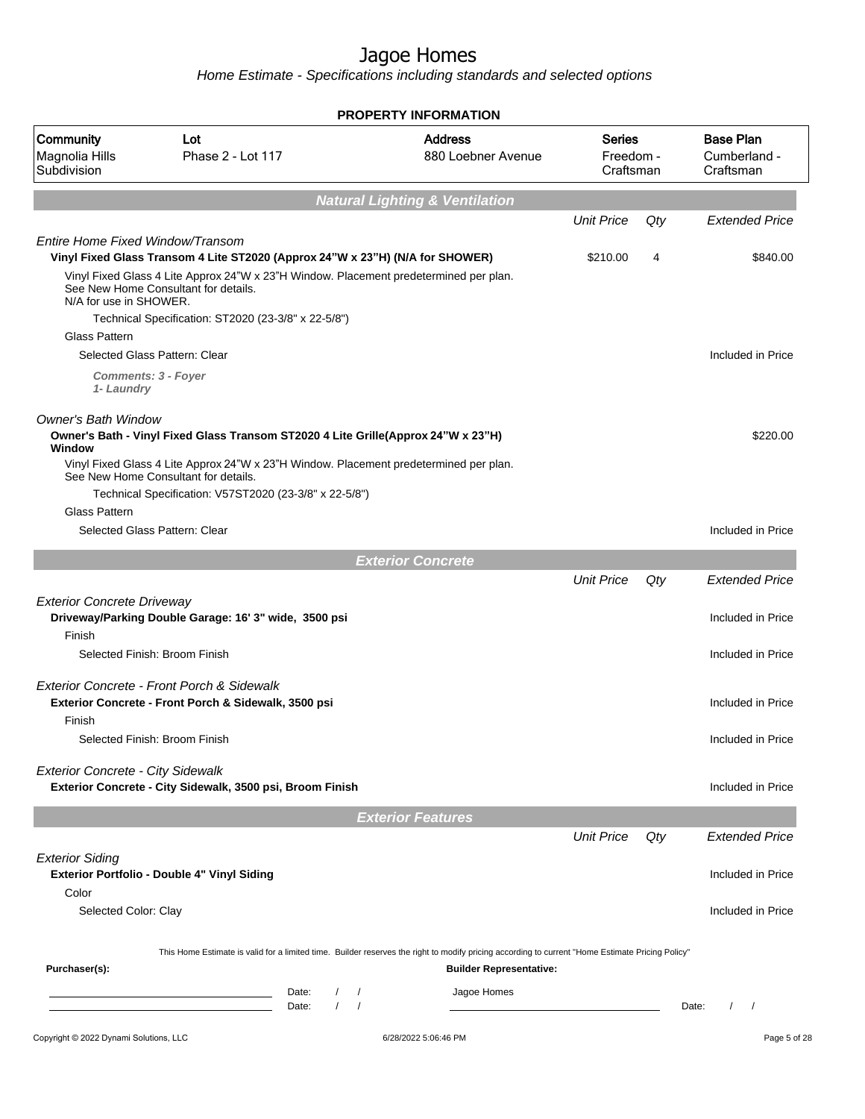|                                                   |                                                                                                                                                                                         | <b>PROPERTY INFORMATION</b>                                                                                                                      |                                  |       |                                               |
|---------------------------------------------------|-----------------------------------------------------------------------------------------------------------------------------------------------------------------------------------------|--------------------------------------------------------------------------------------------------------------------------------------------------|----------------------------------|-------|-----------------------------------------------|
| <b>Community</b><br>Magnolia Hills<br>Subdivision | Lot<br>Phase 2 - Lot 117                                                                                                                                                                | <b>Address</b><br>880 Loebner Avenue                                                                                                             | Series<br>Freedom -<br>Craftsman |       | <b>Base Plan</b><br>Cumberland -<br>Craftsman |
|                                                   |                                                                                                                                                                                         | <b>Natural Lighting &amp; Ventilation</b>                                                                                                        |                                  |       |                                               |
|                                                   |                                                                                                                                                                                         |                                                                                                                                                  | <b>Unit Price</b>                | Qty   | <b>Extended Price</b>                         |
| Entire Home Fixed Window/Transom                  | Vinyl Fixed Glass Transom 4 Lite ST2020 (Approx 24"W x 23"H) (N/A for SHOWER)                                                                                                           |                                                                                                                                                  | \$210.00                         | 4     | \$840.00                                      |
| N/A for use in SHOWER.                            | Vinyl Fixed Glass 4 Lite Approx 24"W x 23"H Window. Placement predetermined per plan.<br>See New Home Consultant for details.                                                           |                                                                                                                                                  |                                  |       |                                               |
|                                                   | Technical Specification: ST2020 (23-3/8" x 22-5/8")                                                                                                                                     |                                                                                                                                                  |                                  |       |                                               |
| <b>Glass Pattern</b>                              |                                                                                                                                                                                         |                                                                                                                                                  |                                  |       |                                               |
|                                                   | Selected Glass Pattern: Clear                                                                                                                                                           |                                                                                                                                                  |                                  |       | Included in Price                             |
| 1- Laundry                                        | <b>Comments: 3 - Foyer</b>                                                                                                                                                              |                                                                                                                                                  |                                  |       |                                               |
| <b>Owner's Bath Window</b>                        |                                                                                                                                                                                         |                                                                                                                                                  |                                  |       |                                               |
| Window                                            | Owner's Bath - Vinyl Fixed Glass Transom ST2020 4 Lite Grille(Approx 24"W x 23"H)                                                                                                       |                                                                                                                                                  |                                  |       | \$220.00                                      |
|                                                   | Vinyl Fixed Glass 4 Lite Approx 24"W x 23"H Window. Placement predetermined per plan.<br>See New Home Consultant for details.<br>Technical Specification: V57ST2020 (23-3/8" x 22-5/8") |                                                                                                                                                  |                                  |       |                                               |
| <b>Glass Pattern</b>                              |                                                                                                                                                                                         |                                                                                                                                                  |                                  |       |                                               |
|                                                   | Selected Glass Pattern: Clear                                                                                                                                                           |                                                                                                                                                  |                                  |       | Included in Price                             |
|                                                   |                                                                                                                                                                                         |                                                                                                                                                  |                                  |       |                                               |
|                                                   |                                                                                                                                                                                         | <b>Exterior Concrete</b>                                                                                                                         |                                  |       |                                               |
|                                                   |                                                                                                                                                                                         |                                                                                                                                                  | <b>Unit Price</b>                | Qty   | <b>Extended Price</b>                         |
| <b>Exterior Concrete Driveway</b>                 | Driveway/Parking Double Garage: 16' 3" wide, 3500 psi                                                                                                                                   |                                                                                                                                                  |                                  |       | Included in Price                             |
| Finish                                            | Selected Finish: Broom Finish                                                                                                                                                           |                                                                                                                                                  |                                  |       | Included in Price                             |
|                                                   | Exterior Concrete - Front Porch & Sidewalk                                                                                                                                              |                                                                                                                                                  |                                  |       |                                               |
| Finish                                            | Exterior Concrete - Front Porch & Sidewalk, 3500 psi                                                                                                                                    |                                                                                                                                                  |                                  |       | Included in Price                             |
|                                                   | Selected Finish: Broom Finish                                                                                                                                                           |                                                                                                                                                  |                                  |       | Included in Price                             |
| <b>Exterior Concrete - City Sidewalk</b>          | Exterior Concrete - City Sidewalk, 3500 psi, Broom Finish                                                                                                                               |                                                                                                                                                  |                                  |       | Included in Price                             |
|                                                   |                                                                                                                                                                                         |                                                                                                                                                  |                                  |       |                                               |
|                                                   |                                                                                                                                                                                         | <b>Exterior Features</b>                                                                                                                         |                                  |       |                                               |
|                                                   |                                                                                                                                                                                         |                                                                                                                                                  | <b>Unit Price</b>                | Qty   | <b>Extended Price</b>                         |
| <b>Exterior Siding</b>                            | <b>Exterior Portfolio - Double 4" Vinyl Siding</b>                                                                                                                                      |                                                                                                                                                  |                                  |       | Included in Price                             |
| Color                                             |                                                                                                                                                                                         |                                                                                                                                                  |                                  |       |                                               |
| Selected Color: Clay                              |                                                                                                                                                                                         |                                                                                                                                                  |                                  |       | Included in Price                             |
|                                                   |                                                                                                                                                                                         | This Home Estimate is valid for a limited time. Builder reserves the right to modify pricing according to current "Home Estimate Pricing Policy" |                                  |       |                                               |
| Purchaser(s):                                     |                                                                                                                                                                                         | <b>Builder Representative:</b>                                                                                                                   |                                  |       |                                               |
|                                                   | Date:<br>the control of the control of the control of the control of<br>$\prime$<br>Date:                                                                                               | Jagoe Homes<br>$\prime$                                                                                                                          |                                  | Date: | $\sqrt{ }$<br>$\prime$                        |
| Copyright © 2022 Dynami Solutions, LLC            |                                                                                                                                                                                         | 6/28/2022 5:06:46 PM                                                                                                                             |                                  |       | Page 5 of 28                                  |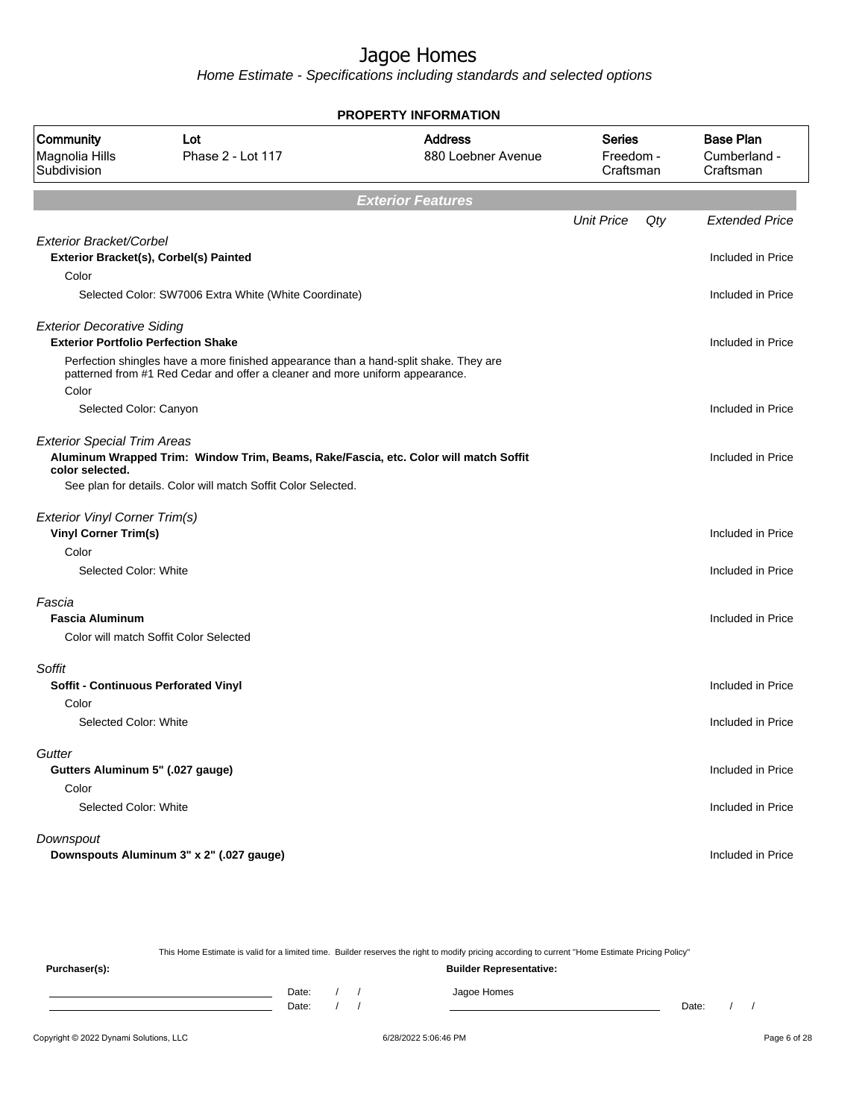Home Estimate - Specifications including standards and selected options

| PROPERTY INFORMATION                                                            |                                                                                                                                                                       |                                      |                                  |     |                                               |
|---------------------------------------------------------------------------------|-----------------------------------------------------------------------------------------------------------------------------------------------------------------------|--------------------------------------|----------------------------------|-----|-----------------------------------------------|
| Community<br>Magnolia Hills<br>Subdivision                                      | Lot<br>Phase 2 - Lot 117                                                                                                                                              | <b>Address</b><br>880 Loebner Avenue | Series<br>Freedom -<br>Craftsman |     | <b>Base Plan</b><br>Cumberland -<br>Craftsman |
|                                                                                 |                                                                                                                                                                       | <b>Exterior Features</b>             |                                  |     |                                               |
|                                                                                 |                                                                                                                                                                       |                                      | <b>Unit Price</b>                | Qty | <b>Extended Price</b>                         |
| <b>Exterior Bracket/Corbel</b>                                                  |                                                                                                                                                                       |                                      |                                  |     | Included in Price                             |
| Color                                                                           | Exterior Bracket(s), Corbel(s) Painted                                                                                                                                |                                      |                                  |     |                                               |
|                                                                                 | Selected Color: SW7006 Extra White (White Coordinate)                                                                                                                 |                                      |                                  |     | Included in Price                             |
| <b>Exterior Decorative Siding</b><br><b>Exterior Portfolio Perfection Shake</b> |                                                                                                                                                                       |                                      |                                  |     | Included in Price                             |
| Color                                                                           | Perfection shingles have a more finished appearance than a hand-split shake. They are<br>patterned from #1 Red Cedar and offer a cleaner and more uniform appearance. |                                      |                                  |     |                                               |
| Selected Color: Canyon                                                          |                                                                                                                                                                       |                                      |                                  |     | Included in Price                             |
| <b>Exterior Special Trim Areas</b><br>color selected.                           | Aluminum Wrapped Trim: Window Trim, Beams, Rake/Fascia, etc. Color will match Soffit                                                                                  |                                      |                                  |     | Included in Price                             |
|                                                                                 | See plan for details. Color will match Soffit Color Selected.                                                                                                         |                                      |                                  |     |                                               |
| <b>Exterior Vinyl Corner Trim(s)</b><br><b>Vinyl Corner Trim(s)</b>             |                                                                                                                                                                       |                                      |                                  |     | Included in Price                             |
| Color                                                                           |                                                                                                                                                                       |                                      |                                  |     |                                               |
| Selected Color: White                                                           |                                                                                                                                                                       |                                      |                                  |     | Included in Price                             |
| Fascia<br><b>Fascia Aluminum</b>                                                |                                                                                                                                                                       |                                      |                                  |     | Included in Price                             |
|                                                                                 | Color will match Soffit Color Selected                                                                                                                                |                                      |                                  |     |                                               |
| Soffit                                                                          |                                                                                                                                                                       |                                      |                                  |     |                                               |
| Soffit - Continuous Perforated Vinyl                                            |                                                                                                                                                                       |                                      |                                  |     | Included in Price                             |
| Color<br>Selected Color: White                                                  |                                                                                                                                                                       |                                      |                                  |     | Included in Price                             |
| Gutter                                                                          |                                                                                                                                                                       |                                      |                                  |     |                                               |
| Gutters Aluminum 5" (.027 gauge)                                                |                                                                                                                                                                       |                                      |                                  |     | Included in Price                             |
| Color<br>Selected Color: White                                                  |                                                                                                                                                                       |                                      |                                  |     | Included in Price                             |
|                                                                                 |                                                                                                                                                                       |                                      |                                  |     |                                               |
| Downspout                                                                       | Downspouts Aluminum 3" x 2" (.027 gauge)                                                                                                                              |                                      |                                  |     | Included in Price                             |
|                                                                                 |                                                                                                                                                                       |                                      |                                  |     |                                               |

This Home Estimate is valid for a limited time. Builder reserves the right to modify pricing according to current "Home Estimate Pricing Policy"

**Purchaser(s): Builder Representative:** Date: / / Jagoe Homes<br>Date: / / Jagoe Homes Date: / / **Date: / / 2006** Date: / / **Date: / / / 2006** Date: / / / 2006 Date: / / / 2006 Date: / / / 2006 Date: / / / 2006 Date: / / / 2006 Date: / / / 2006 Date: / / / 2006 Date: / / / 2006 Date: / / / 2006 Date: / 2007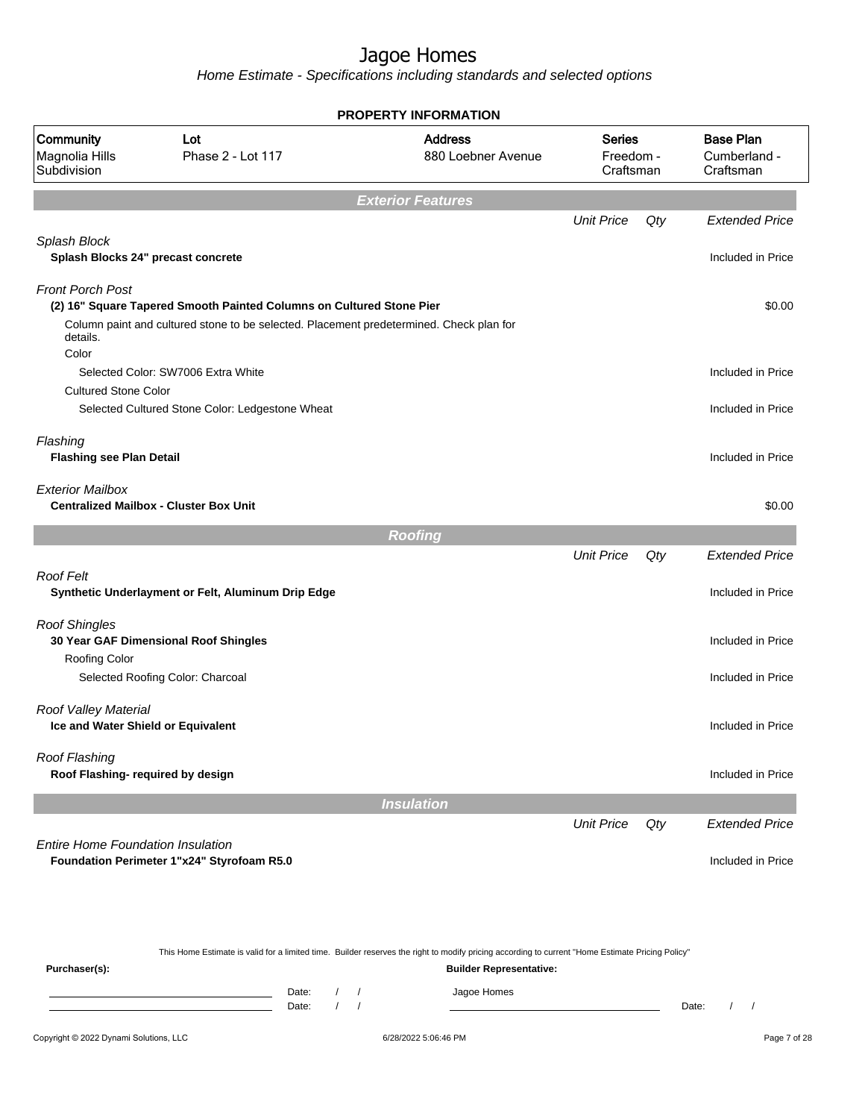|                                                            | <b>PROPERTY INFORMATION</b>                                                             |                                      |                                         |     |                                               |  |
|------------------------------------------------------------|-----------------------------------------------------------------------------------------|--------------------------------------|-----------------------------------------|-----|-----------------------------------------------|--|
| Community<br>Magnolia Hills<br>Subdivision                 | Lot<br>Phase 2 - Lot 117                                                                | <b>Address</b><br>880 Loebner Avenue | <b>Series</b><br>Freedom -<br>Craftsman |     | <b>Base Plan</b><br>Cumberland -<br>Craftsman |  |
|                                                            |                                                                                         | <b>Exterior Features</b>             |                                         |     |                                               |  |
|                                                            |                                                                                         |                                      | <b>Unit Price</b>                       | Qty | <b>Extended Price</b>                         |  |
| Splash Block<br>Splash Blocks 24" precast concrete         |                                                                                         |                                      |                                         |     | Included in Price                             |  |
| <b>Front Porch Post</b>                                    | (2) 16" Square Tapered Smooth Painted Columns on Cultured Stone Pier                    |                                      |                                         |     | \$0.00                                        |  |
| details.<br>Color                                          | Column paint and cultured stone to be selected. Placement predetermined. Check plan for |                                      |                                         |     |                                               |  |
|                                                            | Selected Color: SW7006 Extra White                                                      |                                      |                                         |     | Included in Price                             |  |
| <b>Cultured Stone Color</b>                                | Selected Cultured Stone Color: Ledgestone Wheat                                         |                                      |                                         |     | Included in Price                             |  |
| Flashing<br><b>Flashing see Plan Detail</b>                |                                                                                         |                                      |                                         |     | Included in Price                             |  |
| <b>Exterior Mailbox</b>                                    | <b>Centralized Mailbox - Cluster Box Unit</b>                                           |                                      |                                         |     | \$0.00                                        |  |
|                                                            |                                                                                         | <b>Roofing</b>                       |                                         |     |                                               |  |
|                                                            |                                                                                         |                                      | <b>Unit Price</b>                       | Qty | <b>Extended Price</b>                         |  |
| <b>Roof Felt</b>                                           | Synthetic Underlayment or Felt, Aluminum Drip Edge                                      |                                      |                                         |     | Included in Price                             |  |
| <b>Roof Shingles</b>                                       | 30 Year GAF Dimensional Roof Shingles                                                   |                                      |                                         |     | Included in Price                             |  |
| Roofing Color                                              |                                                                                         |                                      |                                         |     |                                               |  |
|                                                            | Selected Roofing Color: Charcoal                                                        |                                      |                                         |     | Included in Price                             |  |
| Roof Valley Material<br>Ice and Water Shield or Equivalent |                                                                                         |                                      |                                         |     | Included in Price                             |  |
| <b>Roof Flashing</b><br>Roof Flashing- required by design  |                                                                                         |                                      |                                         |     | Included in Price                             |  |
|                                                            |                                                                                         | <b>Insulation</b>                    |                                         |     |                                               |  |
|                                                            |                                                                                         |                                      | <b>Unit Price</b>                       | Qty | <b>Extended Price</b>                         |  |
| <b>Entire Home Foundation Insulation</b>                   | Foundation Perimeter 1"x24" Styrofoam R5.0                                              |                                      |                                         |     | Included in Price                             |  |
|                                                            |                                                                                         |                                      |                                         |     |                                               |  |

|               | This Home Estimate is valid for a limited time. Builder reserves the right to modify pricing according to current "Home Estimate Pricing Policy" |  |                                |       |  |
|---------------|--------------------------------------------------------------------------------------------------------------------------------------------------|--|--------------------------------|-------|--|
| Purchaser(s): |                                                                                                                                                  |  | <b>Builder Representative:</b> |       |  |
|               | Date:                                                                                                                                            |  | Jagoe Homes                    |       |  |
|               | Date:                                                                                                                                            |  |                                | Date: |  |
|               |                                                                                                                                                  |  |                                |       |  |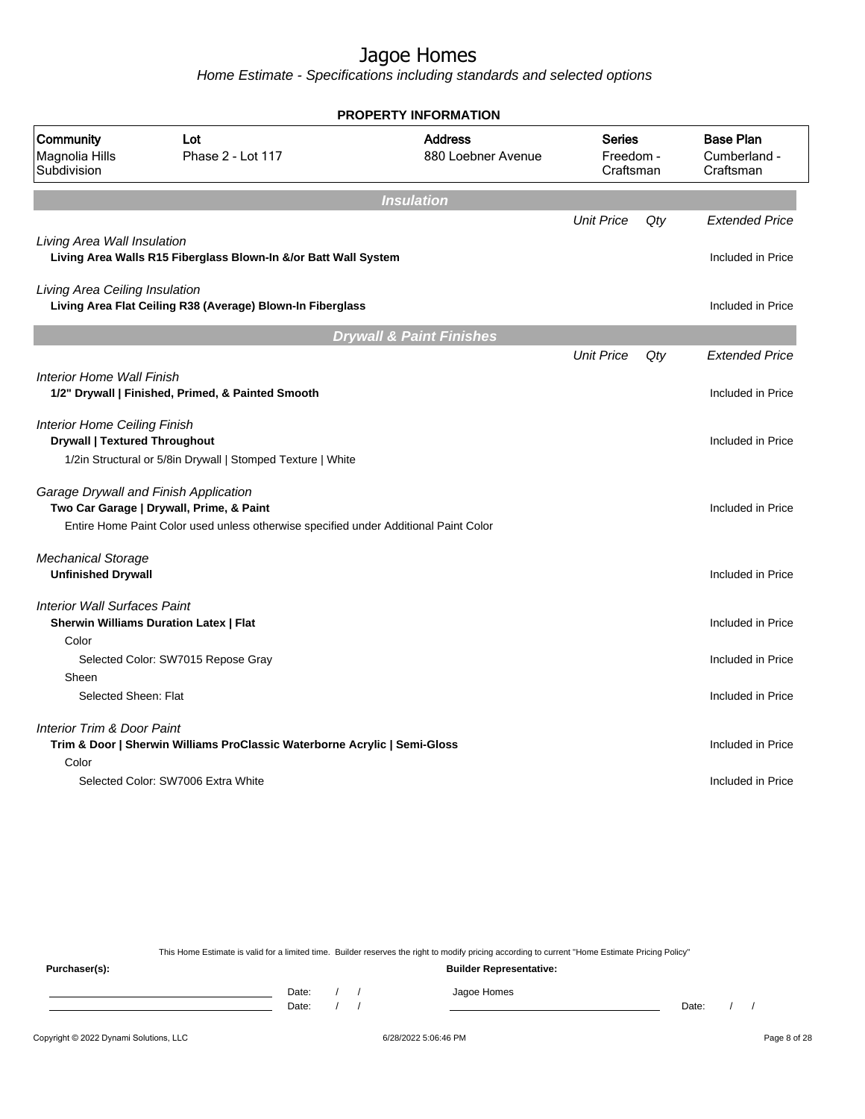Home Estimate - Specifications including standards and selected options

| <b>PROPERTY INFORMATION</b>                                                 |                                                                                                                                                                           |                                      |                                  |     |                                               |  |  |
|-----------------------------------------------------------------------------|---------------------------------------------------------------------------------------------------------------------------------------------------------------------------|--------------------------------------|----------------------------------|-----|-----------------------------------------------|--|--|
| Community<br>Magnolia Hills<br>Subdivision                                  | Lot<br>Phase 2 - Lot 117                                                                                                                                                  | <b>Address</b><br>880 Loebner Avenue | Series<br>Freedom -<br>Craftsman |     | <b>Base Plan</b><br>Cumberland -<br>Craftsman |  |  |
|                                                                             |                                                                                                                                                                           | <b>Insulation</b>                    |                                  |     |                                               |  |  |
|                                                                             |                                                                                                                                                                           |                                      | <b>Unit Price</b>                | Qty | <b>Extended Price</b>                         |  |  |
| Living Area Wall Insulation                                                 | Living Area Walls R15 Fiberglass Blown-In &/or Batt Wall System                                                                                                           |                                      |                                  |     | Included in Price                             |  |  |
| Living Area Ceiling Insulation                                              | Living Area Flat Ceiling R38 (Average) Blown-In Fiberglass                                                                                                                |                                      |                                  |     | Included in Price                             |  |  |
|                                                                             |                                                                                                                                                                           | <b>Drywall &amp; Paint Finishes</b>  |                                  |     |                                               |  |  |
|                                                                             |                                                                                                                                                                           |                                      | <b>Unit Price</b>                | Qty | <b>Extended Price</b>                         |  |  |
| <b>Interior Home Wall Finish</b>                                            | 1/2" Drywall   Finished, Primed, & Painted Smooth                                                                                                                         |                                      |                                  |     | Included in Price                             |  |  |
| <b>Interior Home Ceiling Finish</b><br><b>Drywall   Textured Throughout</b> |                                                                                                                                                                           |                                      |                                  |     | Included in Price                             |  |  |
|                                                                             | 1/2in Structural or 5/8in Drywall   Stomped Texture   White                                                                                                               |                                      |                                  |     |                                               |  |  |
|                                                                             | Garage Drywall and Finish Application<br>Two Car Garage   Drywall, Prime, & Paint<br>Entire Home Paint Color used unless otherwise specified under Additional Paint Color |                                      |                                  |     | Included in Price                             |  |  |
| <b>Mechanical Storage</b>                                                   |                                                                                                                                                                           |                                      |                                  |     |                                               |  |  |
| <b>Unfinished Drywall</b>                                                   |                                                                                                                                                                           |                                      |                                  |     | Included in Price                             |  |  |
| <b>Interior Wall Surfaces Paint</b>                                         |                                                                                                                                                                           |                                      |                                  |     |                                               |  |  |
|                                                                             | <b>Sherwin Williams Duration Latex   Flat</b>                                                                                                                             |                                      |                                  |     | Included in Price                             |  |  |
| Color                                                                       | Selected Color: SW7015 Repose Gray                                                                                                                                        |                                      |                                  |     | Included in Price                             |  |  |
| Sheen                                                                       |                                                                                                                                                                           |                                      |                                  |     |                                               |  |  |
| Selected Sheen: Flat                                                        |                                                                                                                                                                           |                                      |                                  |     | Included in Price                             |  |  |
| <b>Interior Trim &amp; Door Paint</b>                                       |                                                                                                                                                                           |                                      |                                  |     |                                               |  |  |
|                                                                             | Trim & Door   Sherwin Williams ProClassic Waterborne Acrylic   Semi-Gloss                                                                                                 |                                      |                                  |     | Included in Price                             |  |  |
| Color                                                                       |                                                                                                                                                                           |                                      |                                  |     |                                               |  |  |
|                                                                             | Selected Color: SW7006 Extra White                                                                                                                                        |                                      |                                  |     | Included in Price                             |  |  |
|                                                                             |                                                                                                                                                                           |                                      |                                  |     |                                               |  |  |

This Home Estimate is valid for a limited time. Builder reserves the right to modify pricing according to current "Home Estimate Pricing Policy"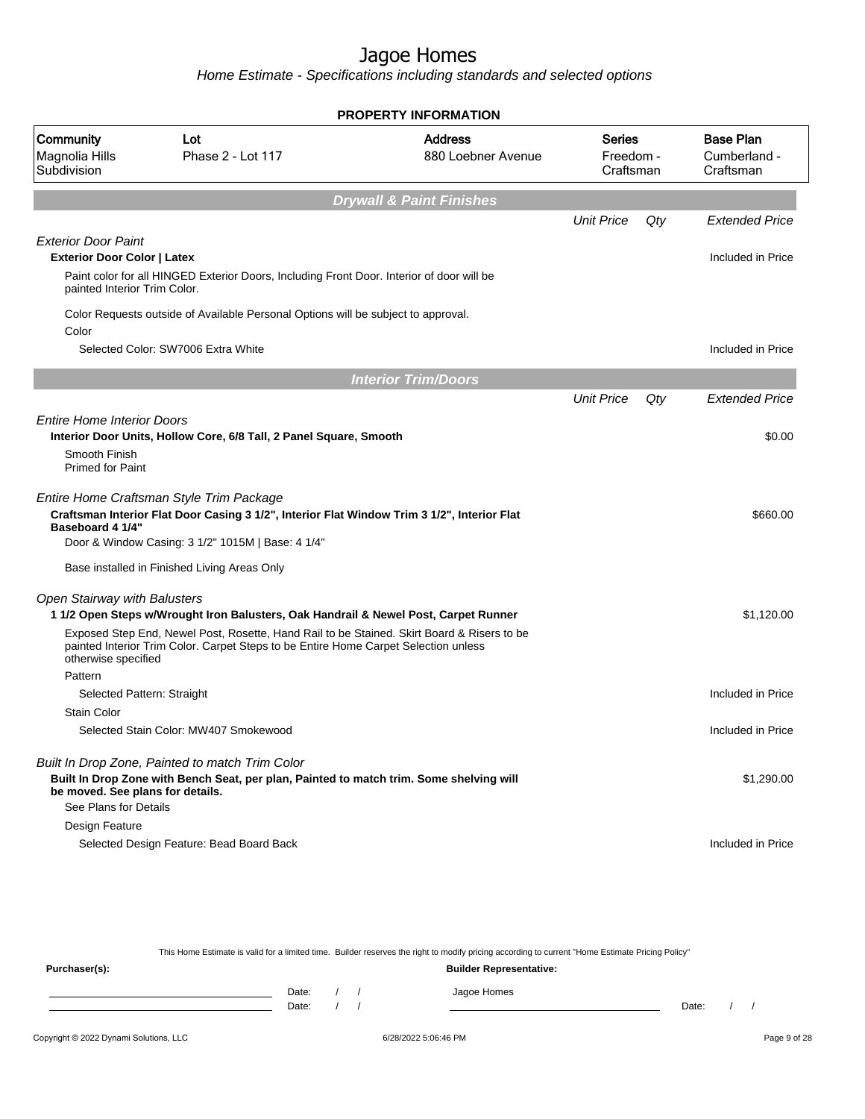Home Estimate - Specifications including standards and selected options

|                                                                               | <b>PROPERTY INFORMATION</b>                                                                                                                                                                                                                  |                                      |                                  |     |                                               |  |  |
|-------------------------------------------------------------------------------|----------------------------------------------------------------------------------------------------------------------------------------------------------------------------------------------------------------------------------------------|--------------------------------------|----------------------------------|-----|-----------------------------------------------|--|--|
| Community<br>Magnolia Hills<br>Subdivision                                    | Lot<br>Phase 2 - Lot 117                                                                                                                                                                                                                     | <b>Address</b><br>880 Loebner Avenue | Series<br>Freedom -<br>Craftsman |     | <b>Base Plan</b><br>Cumberland -<br>Craftsman |  |  |
|                                                                               |                                                                                                                                                                                                                                              | <b>Drywall &amp; Paint Finishes</b>  |                                  |     |                                               |  |  |
|                                                                               |                                                                                                                                                                                                                                              |                                      | <b>Unit Price</b>                | Qty | <b>Extended Price</b>                         |  |  |
| <b>Exterior Door Paint</b>                                                    |                                                                                                                                                                                                                                              |                                      |                                  |     |                                               |  |  |
| <b>Exterior Door Color   Latex</b>                                            |                                                                                                                                                                                                                                              |                                      |                                  |     | Included in Price                             |  |  |
| painted Interior Trim Color.                                                  | Paint color for all HINGED Exterior Doors, Including Front Door. Interior of door will be                                                                                                                                                    |                                      |                                  |     |                                               |  |  |
| Color                                                                         | Color Requests outside of Available Personal Options will be subject to approval.                                                                                                                                                            |                                      |                                  |     |                                               |  |  |
|                                                                               | Selected Color: SW7006 Extra White                                                                                                                                                                                                           |                                      |                                  |     | Included in Price                             |  |  |
|                                                                               |                                                                                                                                                                                                                                              | <b>Interior Trim/Doors</b>           |                                  |     |                                               |  |  |
|                                                                               |                                                                                                                                                                                                                                              |                                      | <b>Unit Price</b>                | Qty | <b>Extended Price</b>                         |  |  |
| <b>Entire Home Interior Doors</b><br>Smooth Finish<br><b>Primed for Paint</b> | Interior Door Units, Hollow Core, 6/8 Tall, 2 Panel Square, Smooth                                                                                                                                                                           |                                      |                                  |     | \$0.00                                        |  |  |
| Baseboard 4 1/4"                                                              | Entire Home Craftsman Style Trim Package<br>Craftsman Interior Flat Door Casing 3 1/2", Interior Flat Window Trim 3 1/2", Interior Flat<br>Door & Window Casing: 3 1/2" 1015M   Base: 4 1/4"<br>Base installed in Finished Living Areas Only |                                      |                                  |     | \$660.00                                      |  |  |
| <b>Open Stairway with Balusters</b>                                           |                                                                                                                                                                                                                                              |                                      |                                  |     |                                               |  |  |
|                                                                               | 1 1/2 Open Steps w/Wrought Iron Balusters, Oak Handrail & Newel Post, Carpet Runner                                                                                                                                                          |                                      |                                  |     | \$1,120.00                                    |  |  |
| otherwise specified                                                           | Exposed Step End, Newel Post, Rosette, Hand Rail to be Stained. Skirt Board & Risers to be<br>painted Interior Trim Color. Carpet Steps to be Entire Home Carpet Selection unless                                                            |                                      |                                  |     |                                               |  |  |
| Pattern                                                                       |                                                                                                                                                                                                                                              |                                      |                                  |     |                                               |  |  |
| <b>Stain Color</b>                                                            | Selected Pattern: Straight                                                                                                                                                                                                                   |                                      |                                  |     | Included in Price                             |  |  |
|                                                                               | Selected Stain Color: MW407 Smokewood                                                                                                                                                                                                        |                                      |                                  |     | Included in Price                             |  |  |
|                                                                               |                                                                                                                                                                                                                                              |                                      |                                  |     |                                               |  |  |
| be moved. See plans for details.<br>See Plans for Details                     | Built In Drop Zone, Painted to match Trim Color<br>Built In Drop Zone with Bench Seat, per plan, Painted to match trim. Some shelving will                                                                                                   |                                      |                                  |     | \$1,290.00                                    |  |  |
| Design Feature                                                                |                                                                                                                                                                                                                                              |                                      |                                  |     |                                               |  |  |
|                                                                               | Selected Design Feature: Bead Board Back                                                                                                                                                                                                     |                                      |                                  |     | Included in Price                             |  |  |

This Home Estimate is valid for a limited time. Builder reserves the right to modify pricing according to current "Home Estimate Pricing Policy"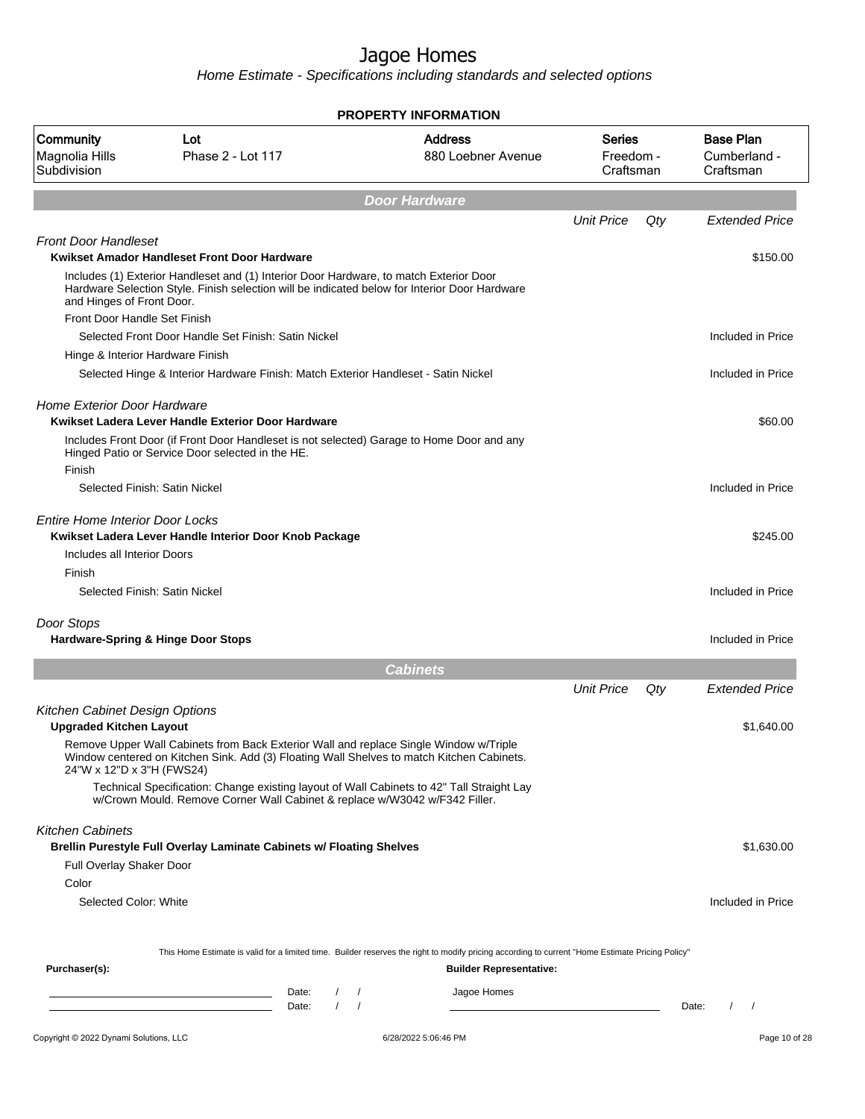|                                                                  |                                                                                                                                                                                         | <b>PROPERTY INFORMATION</b>          |                                  |     |                                               |
|------------------------------------------------------------------|-----------------------------------------------------------------------------------------------------------------------------------------------------------------------------------------|--------------------------------------|----------------------------------|-----|-----------------------------------------------|
| Community<br>Magnolia Hills<br>Subdivision                       | Lot<br>Phase 2 - Lot 117                                                                                                                                                                | <b>Address</b><br>880 Loebner Avenue | Series<br>Freedom -<br>Craftsman |     | <b>Base Plan</b><br>Cumberland -<br>Craftsman |
|                                                                  |                                                                                                                                                                                         | <b>Door Hardware</b>                 |                                  |     |                                               |
|                                                                  |                                                                                                                                                                                         |                                      | <b>Unit Price</b>                | Qty | <b>Extended Price</b>                         |
| <b>Front Door Handleset</b>                                      | Kwikset Amador Handleset Front Door Hardware                                                                                                                                            |                                      |                                  |     | \$150.00                                      |
| and Hinges of Front Door.                                        | Includes (1) Exterior Handleset and (1) Interior Door Hardware, to match Exterior Door<br>Hardware Selection Style. Finish selection will be indicated below for Interior Door Hardware |                                      |                                  |     |                                               |
| Front Door Handle Set Finish                                     |                                                                                                                                                                                         |                                      |                                  |     |                                               |
|                                                                  | Selected Front Door Handle Set Finish: Satin Nickel                                                                                                                                     |                                      |                                  |     | Included in Price                             |
| Hinge & Interior Hardware Finish                                 |                                                                                                                                                                                         |                                      |                                  |     |                                               |
|                                                                  | Selected Hinge & Interior Hardware Finish: Match Exterior Handleset - Satin Nickel                                                                                                      |                                      |                                  |     | Included in Price                             |
| <b>Home Exterior Door Hardware</b>                               | Kwikset Ladera Lever Handle Exterior Door Hardware                                                                                                                                      |                                      |                                  |     | \$60.00                                       |
| Finish                                                           | Includes Front Door (if Front Door Handleset is not selected) Garage to Home Door and any<br>Hinged Patio or Service Door selected in the HE.                                           |                                      |                                  |     |                                               |
| Selected Finish: Satin Nickel                                    |                                                                                                                                                                                         |                                      |                                  |     | Included in Price                             |
| <b>Entire Home Interior Door Locks</b>                           | Kwikset Ladera Lever Handle Interior Door Knob Package                                                                                                                                  |                                      |                                  |     | \$245.00                                      |
| Includes all Interior Doors                                      |                                                                                                                                                                                         |                                      |                                  |     |                                               |
| Finish                                                           |                                                                                                                                                                                         |                                      |                                  |     |                                               |
| Selected Finish: Satin Nickel                                    |                                                                                                                                                                                         |                                      |                                  |     | Included in Price                             |
| Door Stops                                                       |                                                                                                                                                                                         |                                      |                                  |     |                                               |
| <b>Hardware-Spring &amp; Hinge Door Stops</b>                    |                                                                                                                                                                                         |                                      |                                  |     | Included in Price                             |
|                                                                  |                                                                                                                                                                                         | <b>Cabinets</b>                      |                                  |     |                                               |
|                                                                  |                                                                                                                                                                                         |                                      | <b>Unit Price</b>                | Qty | <b>Extended Price</b>                         |
| Kitchen Cabinet Design Options<br><b>Upgraded Kitchen Layout</b> |                                                                                                                                                                                         |                                      |                                  |     | \$1,640.00                                    |
| 24"W x 12"D x 3"H (FWS24)                                        | Remove Upper Wall Cabinets from Back Exterior Wall and replace Single Window w/Triple<br>Window centered on Kitchen Sink. Add (3) Floating Wall Shelves to match Kitchen Cabinets.      |                                      |                                  |     |                                               |
|                                                                  | Technical Specification: Change existing layout of Wall Cabinets to 42" Tall Straight Lay<br>w/Crown Mould. Remove Corner Wall Cabinet & replace w/W3042 w/F342 Filler.                 |                                      |                                  |     |                                               |
| <b>Kitchen Cabinets</b>                                          | <b>Brellin Purestyle Full Overlay Laminate Cabinets w/ Floating Shelves</b>                                                                                                             |                                      |                                  |     | \$1,630.00                                    |
| Full Overlay Shaker Door                                         |                                                                                                                                                                                         |                                      |                                  |     |                                               |
| Color                                                            |                                                                                                                                                                                         |                                      |                                  |     |                                               |
| Selected Color: White                                            |                                                                                                                                                                                         |                                      |                                  |     | Included in Price                             |
|                                                                  |                                                                                                                                                                                         |                                      |                                  |     |                                               |
| Purchaser(s):                                                    | This Home Estimate is valid for a limited time. Builder reserves the right to modify pricing according to current "Home Estimate Pricing Policy"                                        | <b>Builder Representative:</b>       |                                  |     |                                               |
|                                                                  | Date:<br>$\frac{1}{2}$<br>the control of the control of the control of the control of                                                                                                   | Jagoe Homes                          |                                  |     |                                               |
|                                                                  | $\left  \right $<br>Date:                                                                                                                                                               |                                      |                                  |     | $\sqrt{ }$<br>Date:                           |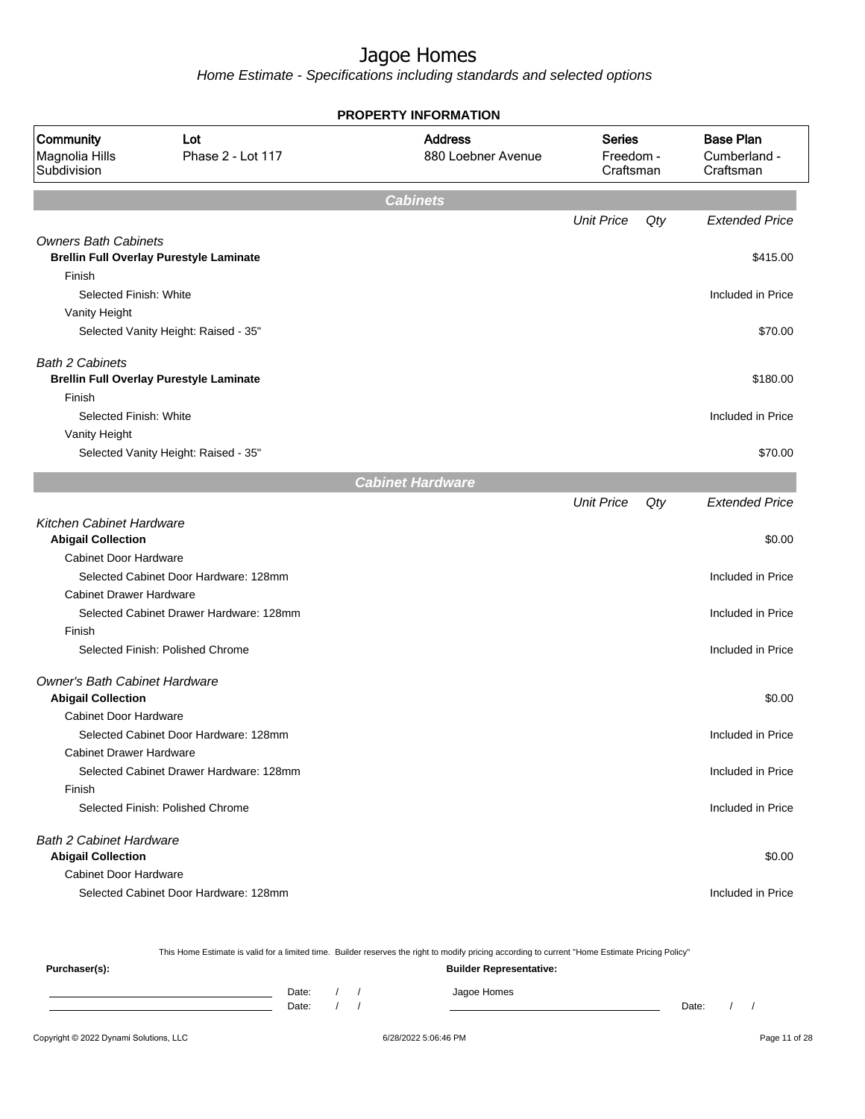Home Estimate - Specifications including standards and selected options

| <b>PROPERTY INFORMATION</b>                                  |                                                |                                      |                                         |     |                                               |  |
|--------------------------------------------------------------|------------------------------------------------|--------------------------------------|-----------------------------------------|-----|-----------------------------------------------|--|
| Community<br>Magnolia Hills<br>Subdivision                   | Lot<br>Phase 2 - Lot 117                       | <b>Address</b><br>880 Loebner Avenue | <b>Series</b><br>Freedom -<br>Craftsman |     | <b>Base Plan</b><br>Cumberland -<br>Craftsman |  |
|                                                              |                                                | <b>Cabinets</b>                      |                                         |     |                                               |  |
|                                                              |                                                |                                      | <b>Unit Price</b>                       | Qty | <b>Extended Price</b>                         |  |
| <b>Owners Bath Cabinets</b>                                  | <b>Brellin Full Overlay Purestyle Laminate</b> |                                      |                                         |     | \$415.00                                      |  |
| Finish                                                       |                                                |                                      |                                         |     |                                               |  |
| Selected Finish: White                                       |                                                |                                      |                                         |     | Included in Price                             |  |
| Vanity Height                                                |                                                |                                      |                                         |     |                                               |  |
|                                                              | Selected Vanity Height: Raised - 35"           |                                      |                                         |     | \$70.00                                       |  |
| <b>Bath 2 Cabinets</b>                                       |                                                |                                      |                                         |     |                                               |  |
|                                                              | <b>Brellin Full Overlay Purestyle Laminate</b> |                                      |                                         |     | \$180.00                                      |  |
| Finish                                                       |                                                |                                      |                                         |     |                                               |  |
| Selected Finish: White                                       |                                                |                                      |                                         |     | Included in Price                             |  |
| Vanity Height                                                |                                                |                                      |                                         |     |                                               |  |
|                                                              | Selected Vanity Height: Raised - 35"           |                                      |                                         |     | \$70.00                                       |  |
|                                                              |                                                | <b>Cabinet Hardware</b>              |                                         |     |                                               |  |
|                                                              |                                                |                                      | <b>Unit Price</b>                       | Qty | <b>Extended Price</b>                         |  |
| <b>Kitchen Cabinet Hardware</b><br><b>Abigail Collection</b> |                                                |                                      |                                         |     | \$0.00                                        |  |
| <b>Cabinet Door Hardware</b>                                 |                                                |                                      |                                         |     |                                               |  |
|                                                              | Selected Cabinet Door Hardware: 128mm          |                                      |                                         |     | Included in Price                             |  |
| <b>Cabinet Drawer Hardware</b>                               |                                                |                                      |                                         |     |                                               |  |
|                                                              | Selected Cabinet Drawer Hardware: 128mm        |                                      |                                         |     | Included in Price                             |  |
| Finish                                                       |                                                |                                      |                                         |     |                                               |  |
|                                                              | Selected Finish: Polished Chrome               |                                      |                                         |     | Included in Price                             |  |
| Owner's Bath Cabinet Hardware<br><b>Abigail Collection</b>   |                                                |                                      |                                         |     | \$0.00                                        |  |
| <b>Cabinet Door Hardware</b>                                 |                                                |                                      |                                         |     |                                               |  |
|                                                              | Selected Cabinet Door Hardware: 128mm          |                                      |                                         |     | Included in Price                             |  |
| <b>Cabinet Drawer Hardware</b>                               |                                                |                                      |                                         |     |                                               |  |
|                                                              | Selected Cabinet Drawer Hardware: 128mm        |                                      |                                         |     | Included in Price                             |  |
| Finish                                                       |                                                |                                      |                                         |     |                                               |  |
|                                                              | Selected Finish: Polished Chrome               |                                      |                                         |     | Included in Price                             |  |
| <b>Bath 2 Cabinet Hardware</b><br><b>Abigail Collection</b>  |                                                |                                      |                                         |     | \$0.00                                        |  |
| <b>Cabinet Door Hardware</b>                                 |                                                |                                      |                                         |     |                                               |  |
|                                                              | Selected Cabinet Door Hardware: 128mm          |                                      |                                         |     | Included in Price                             |  |
|                                                              |                                                |                                      |                                         |     |                                               |  |

This Home Estimate is valid for a limited time. Builder reserves the right to modify pricing according to current "Home Estimate Pricing Policy"

| Purchaser(s): |                |  | <b>Builder Representative:</b> |       |  |
|---------------|----------------|--|--------------------------------|-------|--|
|               | Date:<br>Date: |  | Jagoe Homes                    | Date: |  |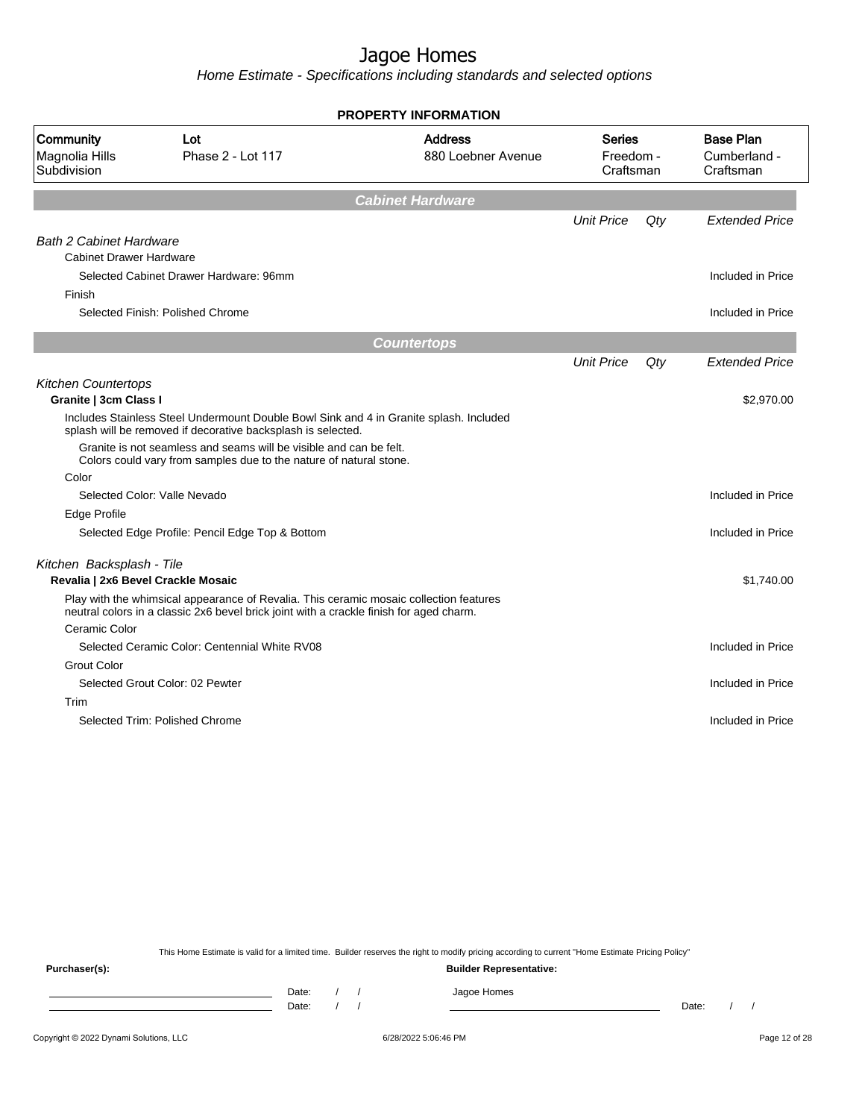Home Estimate - Specifications including standards and selected options

|                                            |                                                                                                                                                                                   | <b>PROPERTY INFORMATION</b>          |                                         |     |                                               |  |
|--------------------------------------------|-----------------------------------------------------------------------------------------------------------------------------------------------------------------------------------|--------------------------------------|-----------------------------------------|-----|-----------------------------------------------|--|
| Community<br>Magnolia Hills<br>Subdivision | Lot<br>Phase 2 - Lot 117                                                                                                                                                          | <b>Address</b><br>880 Loebner Avenue | <b>Series</b><br>Freedom -<br>Craftsman |     | <b>Base Plan</b><br>Cumberland -<br>Craftsman |  |
|                                            |                                                                                                                                                                                   | <b>Cabinet Hardware</b>              |                                         |     |                                               |  |
|                                            |                                                                                                                                                                                   |                                      | <b>Unit Price</b>                       | Qty | <b>Extended Price</b>                         |  |
| <b>Bath 2 Cabinet Hardware</b>             |                                                                                                                                                                                   |                                      |                                         |     |                                               |  |
| <b>Cabinet Drawer Hardware</b>             |                                                                                                                                                                                   |                                      |                                         |     |                                               |  |
|                                            | Selected Cabinet Drawer Hardware: 96mm                                                                                                                                            |                                      |                                         |     | Included in Price                             |  |
| Finish                                     |                                                                                                                                                                                   |                                      |                                         |     |                                               |  |
|                                            | Selected Finish: Polished Chrome                                                                                                                                                  |                                      |                                         |     | Included in Price                             |  |
|                                            |                                                                                                                                                                                   | <b>Countertops</b>                   |                                         |     |                                               |  |
|                                            |                                                                                                                                                                                   |                                      | <b>Unit Price</b>                       | Qty | <b>Extended Price</b>                         |  |
| <b>Kitchen Countertops</b>                 |                                                                                                                                                                                   |                                      |                                         |     |                                               |  |
| Granite   3cm Class I                      |                                                                                                                                                                                   |                                      |                                         |     | \$2,970.00                                    |  |
|                                            | Includes Stainless Steel Undermount Double Bowl Sink and 4 in Granite splash. Included<br>splash will be removed if decorative backsplash is selected.                            |                                      |                                         |     |                                               |  |
|                                            | Granite is not seamless and seams will be visible and can be felt.<br>Colors could vary from samples due to the nature of natural stone.                                          |                                      |                                         |     |                                               |  |
| Color                                      |                                                                                                                                                                                   |                                      |                                         |     |                                               |  |
|                                            | Selected Color: Valle Nevado                                                                                                                                                      |                                      |                                         |     | Included in Price                             |  |
| Edge Profile                               |                                                                                                                                                                                   |                                      |                                         |     |                                               |  |
|                                            | Selected Edge Profile: Pencil Edge Top & Bottom                                                                                                                                   |                                      |                                         |     | Included in Price                             |  |
| Kitchen Backsplash - Tile                  |                                                                                                                                                                                   |                                      |                                         |     |                                               |  |
| Revalia   2x6 Bevel Crackle Mosaic         |                                                                                                                                                                                   |                                      |                                         |     | \$1,740.00                                    |  |
|                                            | Play with the whimsical appearance of Revalia. This ceramic mosaic collection features<br>neutral colors in a classic 2x6 bevel brick joint with a crackle finish for aged charm. |                                      |                                         |     |                                               |  |
| Ceramic Color                              |                                                                                                                                                                                   |                                      |                                         |     |                                               |  |
|                                            | Selected Ceramic Color: Centennial White RV08                                                                                                                                     |                                      |                                         |     | Included in Price                             |  |
| <b>Grout Color</b>                         |                                                                                                                                                                                   |                                      |                                         |     |                                               |  |
|                                            | Selected Grout Color: 02 Pewter                                                                                                                                                   |                                      |                                         |     | Included in Price                             |  |
| Trim                                       |                                                                                                                                                                                   |                                      |                                         |     |                                               |  |
|                                            | Selected Trim: Polished Chrome                                                                                                                                                    |                                      |                                         |     | Included in Price                             |  |
|                                            |                                                                                                                                                                                   |                                      |                                         |     |                                               |  |
|                                            |                                                                                                                                                                                   |                                      |                                         |     |                                               |  |

This Home Estimate is valid for a limited time. Builder reserves the right to modify pricing according to current "Home Estimate Pricing Policy"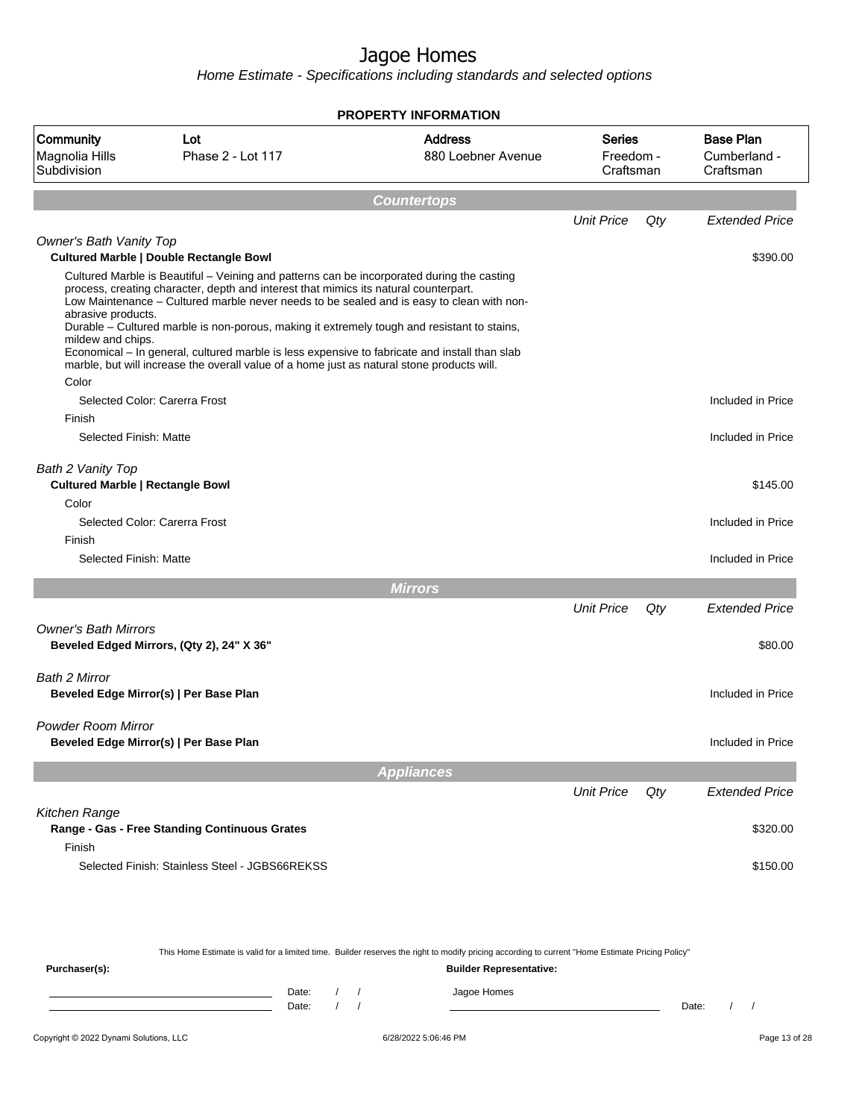|                                                                       | <b>PROPERTY INFORMATION</b>                                                                                                                                                                                                                                                                                                                                                                                                                                                                                                                                                                                                     |                                      |                                         |     |                                               |  |  |
|-----------------------------------------------------------------------|---------------------------------------------------------------------------------------------------------------------------------------------------------------------------------------------------------------------------------------------------------------------------------------------------------------------------------------------------------------------------------------------------------------------------------------------------------------------------------------------------------------------------------------------------------------------------------------------------------------------------------|--------------------------------------|-----------------------------------------|-----|-----------------------------------------------|--|--|
| Community<br>Magnolia Hills<br>Subdivision                            | Lot<br>Phase 2 - Lot 117                                                                                                                                                                                                                                                                                                                                                                                                                                                                                                                                                                                                        | <b>Address</b><br>880 Loebner Avenue | <b>Series</b><br>Freedom -<br>Craftsman |     | <b>Base Plan</b><br>Cumberland -<br>Craftsman |  |  |
|                                                                       |                                                                                                                                                                                                                                                                                                                                                                                                                                                                                                                                                                                                                                 | <b>Countertops</b>                   |                                         |     |                                               |  |  |
|                                                                       |                                                                                                                                                                                                                                                                                                                                                                                                                                                                                                                                                                                                                                 |                                      | <b>Unit Price</b>                       | Qty | <b>Extended Price</b>                         |  |  |
| Owner's Bath Vanity Top                                               |                                                                                                                                                                                                                                                                                                                                                                                                                                                                                                                                                                                                                                 |                                      |                                         |     |                                               |  |  |
| abrasive products.<br>mildew and chips.<br>Color                      | <b>Cultured Marble   Double Rectangle Bowl</b><br>Cultured Marble is Beautiful - Veining and patterns can be incorporated during the casting<br>process, creating character, depth and interest that mimics its natural counterpart.<br>Low Maintenance - Cultured marble never needs to be sealed and is easy to clean with non-<br>Durable - Cultured marble is non-porous, making it extremely tough and resistant to stains,<br>Economical - In general, cultured marble is less expensive to fabricate and install than slab<br>marble, but will increase the overall value of a home just as natural stone products will. |                                      |                                         |     | \$390.00                                      |  |  |
|                                                                       | Selected Color: Carerra Frost                                                                                                                                                                                                                                                                                                                                                                                                                                                                                                                                                                                                   |                                      |                                         |     | Included in Price                             |  |  |
| Finish<br>Selected Finish: Matte                                      |                                                                                                                                                                                                                                                                                                                                                                                                                                                                                                                                                                                                                                 |                                      |                                         |     | Included in Price                             |  |  |
| Bath 2 Vanity Top<br><b>Cultured Marble   Rectangle Bowl</b><br>Color |                                                                                                                                                                                                                                                                                                                                                                                                                                                                                                                                                                                                                                 |                                      |                                         |     | \$145.00                                      |  |  |
|                                                                       | Selected Color: Carerra Frost                                                                                                                                                                                                                                                                                                                                                                                                                                                                                                                                                                                                   |                                      |                                         |     | Included in Price                             |  |  |
| Finish<br><b>Selected Finish: Matte</b>                               |                                                                                                                                                                                                                                                                                                                                                                                                                                                                                                                                                                                                                                 |                                      |                                         |     | Included in Price                             |  |  |
|                                                                       |                                                                                                                                                                                                                                                                                                                                                                                                                                                                                                                                                                                                                                 | <b>Mirrors</b>                       |                                         |     |                                               |  |  |
|                                                                       |                                                                                                                                                                                                                                                                                                                                                                                                                                                                                                                                                                                                                                 |                                      | <b>Unit Price</b>                       | Qty | <b>Extended Price</b>                         |  |  |
| <b>Owner's Bath Mirrors</b>                                           | Beveled Edged Mirrors, (Qty 2), 24" X 36"                                                                                                                                                                                                                                                                                                                                                                                                                                                                                                                                                                                       |                                      |                                         |     | \$80.00                                       |  |  |
| Bath 2 Mirror                                                         | Beveled Edge Mirror(s)   Per Base Plan                                                                                                                                                                                                                                                                                                                                                                                                                                                                                                                                                                                          |                                      |                                         |     | Included in Price                             |  |  |
| <b>Powder Room Mirror</b>                                             | Beveled Edge Mirror(s)   Per Base Plan                                                                                                                                                                                                                                                                                                                                                                                                                                                                                                                                                                                          |                                      |                                         |     | Included in Price                             |  |  |
|                                                                       |                                                                                                                                                                                                                                                                                                                                                                                                                                                                                                                                                                                                                                 | <b>Appliances</b>                    |                                         |     |                                               |  |  |
|                                                                       |                                                                                                                                                                                                                                                                                                                                                                                                                                                                                                                                                                                                                                 |                                      | <b>Unit Price</b>                       | Qty | <b>Extended Price</b>                         |  |  |
| Kitchen Range<br>Finish                                               | Range - Gas - Free Standing Continuous Grates                                                                                                                                                                                                                                                                                                                                                                                                                                                                                                                                                                                   |                                      |                                         |     | \$320.00                                      |  |  |
|                                                                       | Selected Finish: Stainless Steel - JGBS66REKSS                                                                                                                                                                                                                                                                                                                                                                                                                                                                                                                                                                                  |                                      |                                         |     | \$150.00                                      |  |  |

| This Home Estimate is valid for a limited time. Builder reserves the right to modify pricing according to current "Home Estimate Pricing Policy" |       |  |  |                                |       |  |  |
|--------------------------------------------------------------------------------------------------------------------------------------------------|-------|--|--|--------------------------------|-------|--|--|
| Purchaser(s):                                                                                                                                    |       |  |  | <b>Builder Representative:</b> |       |  |  |
|                                                                                                                                                  | Date: |  |  | Jagoe Homes                    |       |  |  |
|                                                                                                                                                  | Date: |  |  |                                | Date: |  |  |
|                                                                                                                                                  |       |  |  |                                |       |  |  |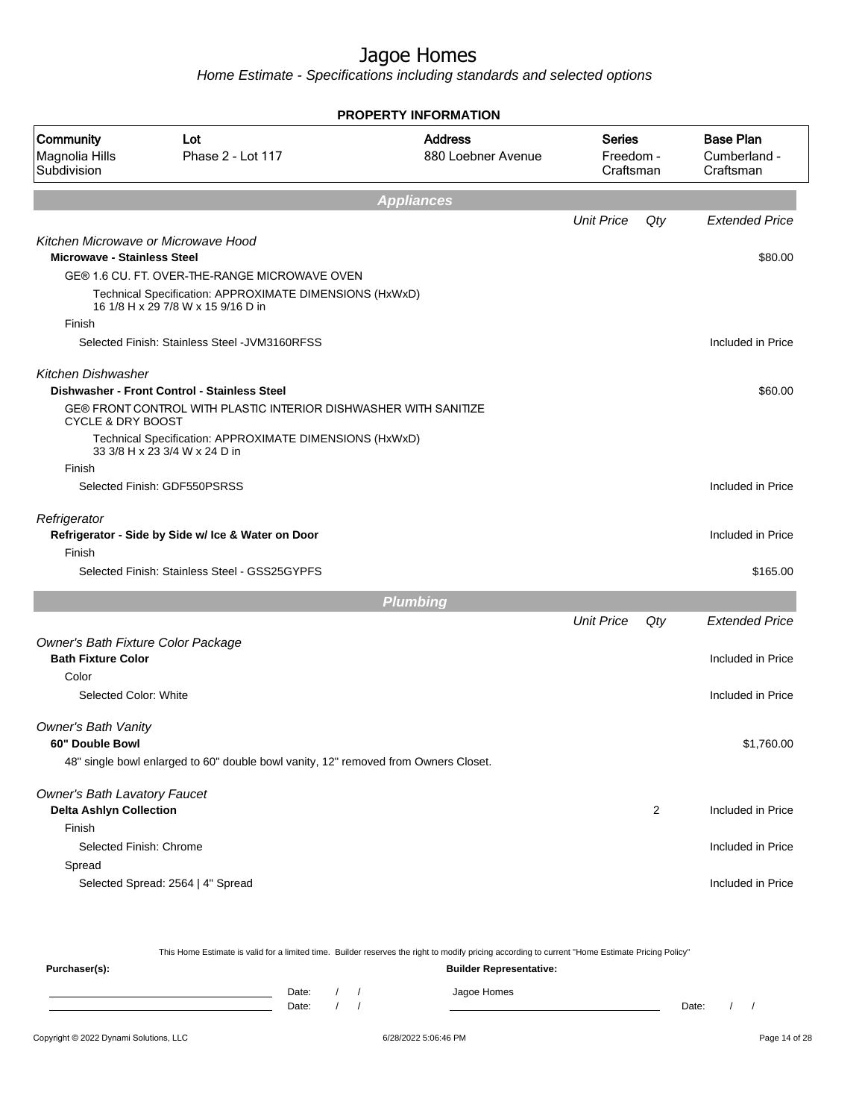Home Estimate - Specifications including standards and selected options

|                                                   |                                                                                               | <b>PROPERTY INFORMATION</b>          |                                         |     |                                               |
|---------------------------------------------------|-----------------------------------------------------------------------------------------------|--------------------------------------|-----------------------------------------|-----|-----------------------------------------------|
| <b>Community</b><br>Magnolia Hills<br>Subdivision | Lot<br>Phase 2 - Lot 117                                                                      | <b>Address</b><br>880 Loebner Avenue | <b>Series</b><br>Freedom -<br>Craftsman |     | <b>Base Plan</b><br>Cumberland -<br>Craftsman |
|                                                   |                                                                                               | <b>Appliances</b>                    |                                         |     |                                               |
|                                                   |                                                                                               |                                      | <b>Unit Price</b>                       | Qty | <b>Extended Price</b>                         |
|                                                   | Kitchen Microwave or Microwave Hood                                                           |                                      |                                         |     |                                               |
| <b>Microwave - Stainless Steel</b>                |                                                                                               |                                      |                                         |     | \$80.00                                       |
|                                                   | GE® 1.6 CU. FT. OVER-THE-RANGE MICROWAVE OVEN                                                 |                                      |                                         |     |                                               |
|                                                   | Technical Specification: APPROXIMATE DIMENSIONS (HxWxD)<br>16 1/8 H x 29 7/8 W x 15 9/16 D in |                                      |                                         |     |                                               |
| Finish                                            |                                                                                               |                                      |                                         |     |                                               |
|                                                   | Selected Finish: Stainless Steel - JVM3160RFSS                                                |                                      |                                         |     | Included in Price                             |
| <b>Kitchen Dishwasher</b>                         |                                                                                               |                                      |                                         |     |                                               |
|                                                   | Dishwasher - Front Control - Stainless Steel                                                  |                                      |                                         |     | \$60.00                                       |
| <b>CYCLE &amp; DRY BOOST</b>                      | GE® FRONT CONTROL WITH PLASTIC INTERIOR DISHWASHER WITH SANITIZE                              |                                      |                                         |     |                                               |
|                                                   | Technical Specification: APPROXIMATE DIMENSIONS (HxWxD)<br>33 3/8 H x 23 3/4 W x 24 D in      |                                      |                                         |     |                                               |
| Finish                                            |                                                                                               |                                      |                                         |     |                                               |
|                                                   | Selected Finish: GDF550PSRSS                                                                  |                                      |                                         |     | Included in Price                             |
| Refrigerator                                      | Refrigerator - Side by Side w/ Ice & Water on Door                                            |                                      |                                         |     | Included in Price                             |
| Finish                                            |                                                                                               |                                      |                                         |     |                                               |
|                                                   | Selected Finish: Stainless Steel - GSS25GYPFS                                                 |                                      |                                         |     | \$165.00                                      |
|                                                   |                                                                                               | <b>Plumbing</b>                      |                                         |     |                                               |
|                                                   |                                                                                               |                                      | <b>Unit Price</b>                       | Qty | <b>Extended Price</b>                         |
| Owner's Bath Fixture Color Package                |                                                                                               |                                      |                                         |     |                                               |
| <b>Bath Fixture Color</b>                         |                                                                                               |                                      |                                         |     | Included in Price                             |
| Color                                             |                                                                                               |                                      |                                         |     |                                               |
| Selected Color: White                             |                                                                                               |                                      |                                         |     | Included in Price                             |
| <b>Owner's Bath Vanity</b>                        |                                                                                               |                                      |                                         |     |                                               |
| 60" Double Bowl                                   |                                                                                               |                                      |                                         |     | \$1,760.00                                    |
|                                                   | 48" single bowl enlarged to 60" double bowl vanity, 12" removed from Owners Closet.           |                                      |                                         |     |                                               |
| <b>Owner's Bath Lavatory Faucet</b>               |                                                                                               |                                      |                                         |     |                                               |
| <b>Delta Ashlyn Collection</b>                    |                                                                                               |                                      |                                         | 2   | Included in Price                             |
| Finish                                            |                                                                                               |                                      |                                         |     |                                               |
| Selected Finish: Chrome                           |                                                                                               |                                      |                                         |     | Included in Price                             |
| Spread                                            |                                                                                               |                                      |                                         |     |                                               |
|                                                   | Selected Spread: 2564   4" Spread                                                             |                                      |                                         |     | Included in Price                             |
|                                                   |                                                                                               |                                      |                                         |     |                                               |

This Home Estimate is valid for a limited time. Builder reserves the right to modify pricing according to current "Home Estimate Pricing Policy"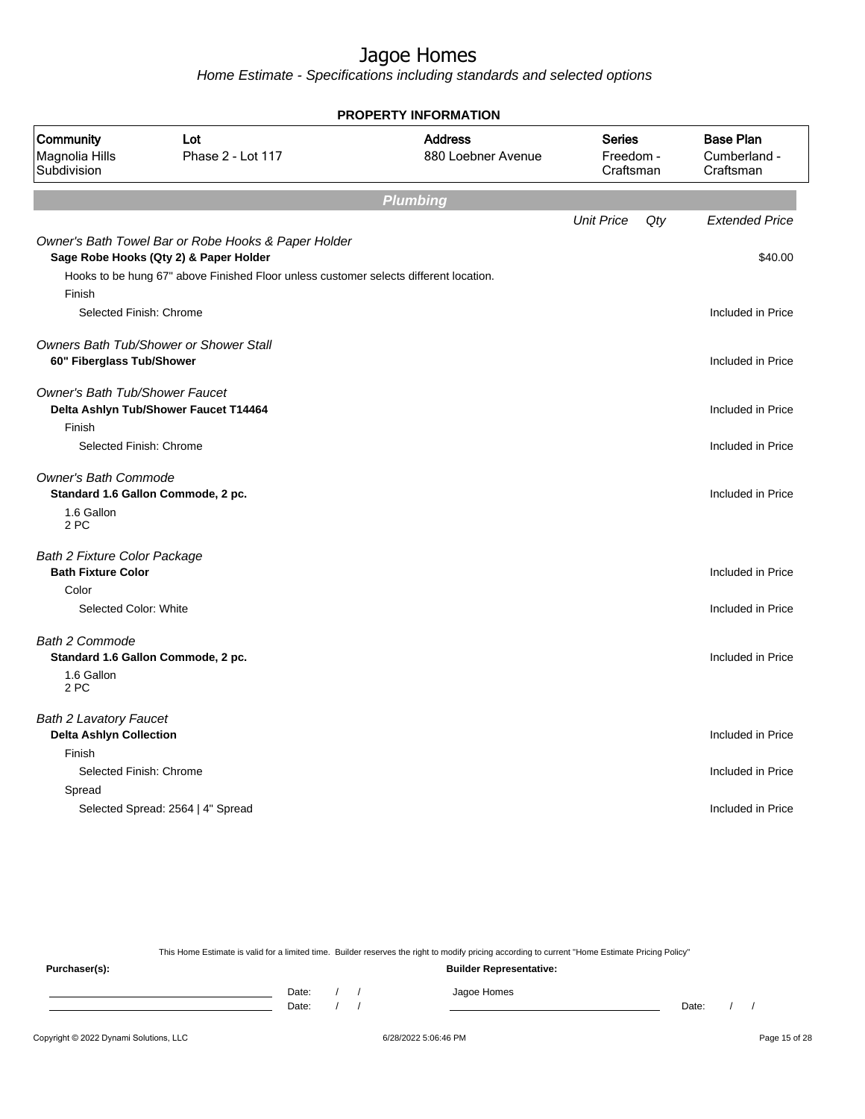Home Estimate - Specifications including standards and selected options

|                                                                  |                                                                                       | <b>PROPERTY INFORMATION</b>          |                                         |     |                                               |
|------------------------------------------------------------------|---------------------------------------------------------------------------------------|--------------------------------------|-----------------------------------------|-----|-----------------------------------------------|
| Community<br>Magnolia Hills<br>Subdivision                       | Lot<br>Phase 2 - Lot 117                                                              | <b>Address</b><br>880 Loebner Avenue | <b>Series</b><br>Freedom -<br>Craftsman |     | <b>Base Plan</b><br>Cumberland -<br>Craftsman |
|                                                                  |                                                                                       | <b>Plumbing</b>                      |                                         |     |                                               |
|                                                                  | Owner's Bath Towel Bar or Robe Hooks & Paper Holder                                   |                                      | <b>Unit Price</b>                       | Qty | <b>Extended Price</b>                         |
|                                                                  | Sage Robe Hooks (Qty 2) & Paper Holder                                                |                                      |                                         |     | \$40.00                                       |
| Finish                                                           | Hooks to be hung 67" above Finished Floor unless customer selects different location. |                                      |                                         |     |                                               |
| Selected Finish: Chrome                                          |                                                                                       |                                      |                                         |     | Included in Price                             |
| 60" Fiberglass Tub/Shower                                        | Owners Bath Tub/Shower or Shower Stall                                                |                                      |                                         |     | Included in Price                             |
| <b>Owner's Bath Tub/Shower Faucet</b>                            | Delta Ashlyn Tub/Shower Faucet T14464                                                 |                                      |                                         |     | Included in Price                             |
| Finish<br>Selected Finish: Chrome                                |                                                                                       |                                      |                                         |     | Included in Price                             |
| <b>Owner's Bath Commode</b>                                      | Standard 1.6 Gallon Commode, 2 pc.                                                    |                                      |                                         |     | Included in Price                             |
| 1.6 Gallon<br>2 PC                                               |                                                                                       |                                      |                                         |     |                                               |
| <b>Bath 2 Fixture Color Package</b><br><b>Bath Fixture Color</b> |                                                                                       |                                      |                                         |     | Included in Price                             |
| Color                                                            |                                                                                       |                                      |                                         |     |                                               |
| Selected Color: White                                            |                                                                                       |                                      |                                         |     | Included in Price                             |
| <b>Bath 2 Commode</b>                                            | Standard 1.6 Gallon Commode, 2 pc.                                                    |                                      |                                         |     | Included in Price                             |
| 1.6 Gallon<br>2 PC                                               |                                                                                       |                                      |                                         |     |                                               |
| <b>Bath 2 Lavatory Faucet</b><br><b>Delta Ashlyn Collection</b>  |                                                                                       |                                      |                                         |     | Included in Price                             |
| Finish                                                           |                                                                                       |                                      |                                         |     |                                               |
| Selected Finish: Chrome                                          |                                                                                       |                                      |                                         |     | Included in Price                             |
| Spread                                                           |                                                                                       |                                      |                                         |     |                                               |
|                                                                  | Selected Spread: 2564   4" Spread                                                     |                                      |                                         |     | Included in Price                             |
|                                                                  |                                                                                       |                                      |                                         |     |                                               |

This Home Estimate is valid for a limited time. Builder reserves the right to modify pricing according to current "Home Estimate Pricing Policy"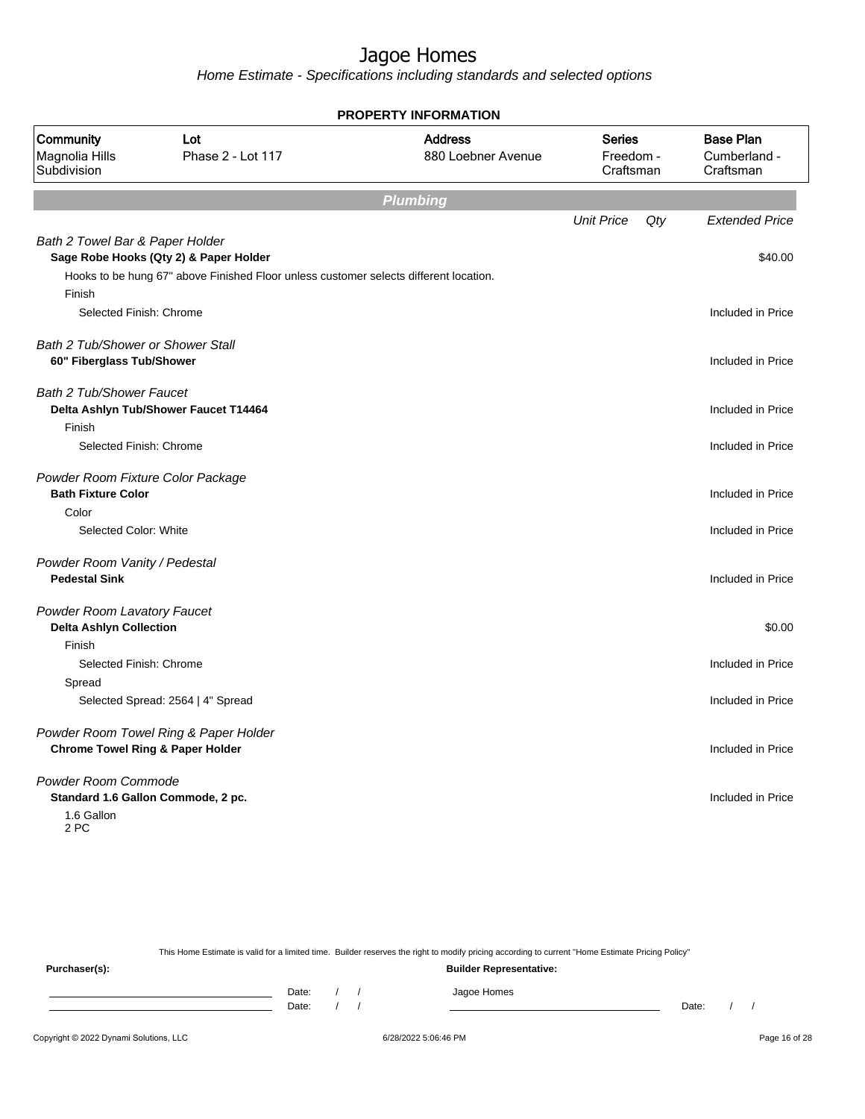Home Estimate - Specifications including standards and selected options

|                                                                       |                                                                                       | <b>PROPERTY INFORMATION</b>          |                                         |     |                                               |
|-----------------------------------------------------------------------|---------------------------------------------------------------------------------------|--------------------------------------|-----------------------------------------|-----|-----------------------------------------------|
| Community<br>Magnolia Hills<br>Subdivision                            | Lot<br>Phase 2 - Lot 117                                                              | <b>Address</b><br>880 Loebner Avenue | <b>Series</b><br>Freedom -<br>Craftsman |     | <b>Base Plan</b><br>Cumberland -<br>Craftsman |
|                                                                       |                                                                                       | <b>Plumbing</b>                      |                                         |     |                                               |
|                                                                       |                                                                                       |                                      | <b>Unit Price</b>                       | Qty | <b>Extended Price</b>                         |
| Bath 2 Towel Bar & Paper Holder                                       | Sage Robe Hooks (Qty 2) & Paper Holder                                                |                                      |                                         |     | \$40.00                                       |
| Finish                                                                | Hooks to be hung 67" above Finished Floor unless customer selects different location. |                                      |                                         |     |                                               |
| Selected Finish: Chrome                                               |                                                                                       |                                      |                                         |     | Included in Price                             |
| <b>Bath 2 Tub/Shower or Shower Stall</b><br>60" Fiberglass Tub/Shower |                                                                                       |                                      |                                         |     | Included in Price                             |
| Bath 2 Tub/Shower Faucet                                              | Delta Ashlyn Tub/Shower Faucet T14464                                                 |                                      |                                         |     | Included in Price                             |
| Finish<br>Selected Finish: Chrome                                     |                                                                                       |                                      |                                         |     | Included in Price                             |
| Powder Room Fixture Color Package<br><b>Bath Fixture Color</b>        |                                                                                       |                                      |                                         |     | Included in Price                             |
| Color<br>Selected Color: White                                        |                                                                                       |                                      |                                         |     | Included in Price                             |
| Powder Room Vanity / Pedestal<br><b>Pedestal Sink</b>                 |                                                                                       |                                      |                                         |     | Included in Price                             |
| <b>Powder Room Lavatory Faucet</b><br><b>Delta Ashlyn Collection</b>  |                                                                                       |                                      |                                         |     | \$0.00                                        |
| Finish<br>Selected Finish: Chrome                                     |                                                                                       |                                      |                                         |     | Included in Price                             |
| Spread                                                                |                                                                                       |                                      |                                         |     |                                               |
|                                                                       | Selected Spread: 2564   4" Spread                                                     |                                      |                                         |     | Included in Price                             |
| <b>Chrome Towel Ring &amp; Paper Holder</b>                           | Powder Room Towel Ring & Paper Holder                                                 |                                      |                                         |     | Included in Price                             |
| Powder Room Commode<br>1.6 Gallon                                     | Standard 1.6 Gallon Commode, 2 pc.                                                    |                                      |                                         |     | Included in Price                             |
| 2 PC                                                                  |                                                                                       |                                      |                                         |     |                                               |

This Home Estimate is valid for a limited time. Builder reserves the right to modify pricing according to current "Home Estimate Pricing Policy" **Purchaser(s): Builder Representative:** Date: / / Jagoe Homes<br>Date: / / Jagoe Homes Date: / / Date: / /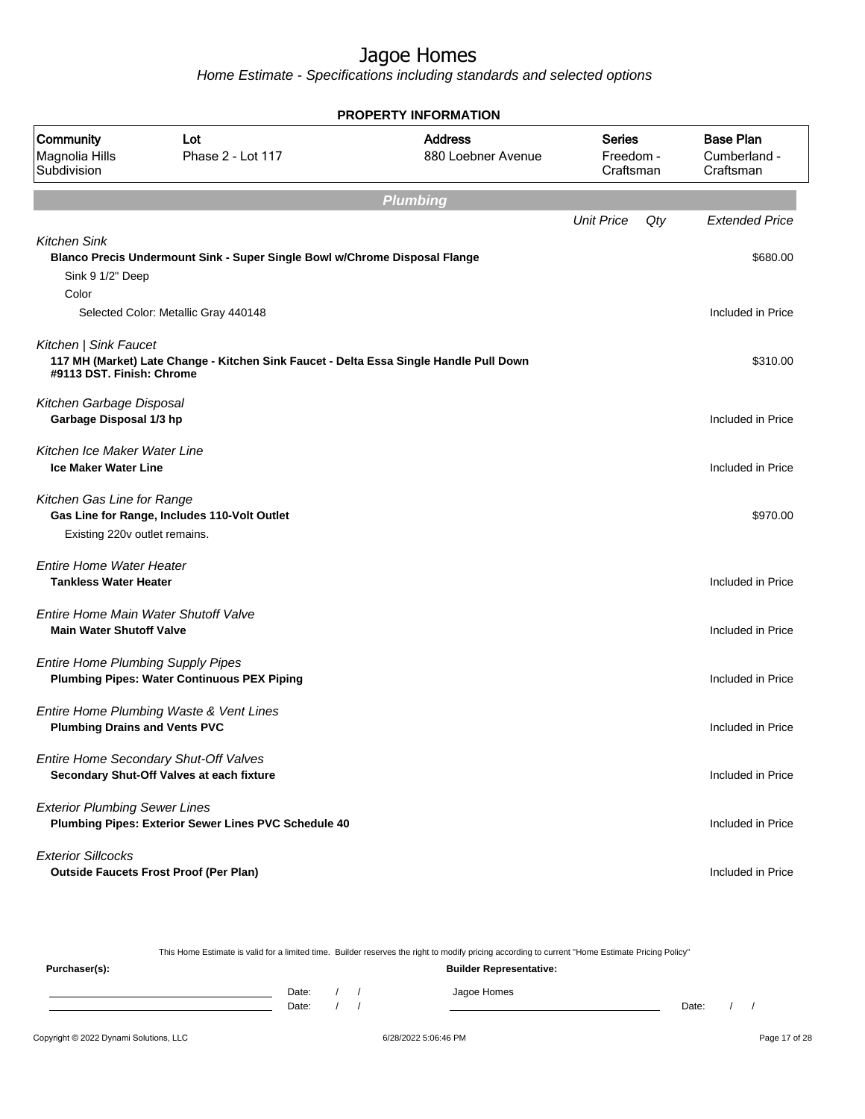Home Estimate - Specifications including standards and selected options

| <b>PROPERTY INFORMATION</b>                                     |                                                                                        |                                      |                                         |     |                                               |  |  |  |  |
|-----------------------------------------------------------------|----------------------------------------------------------------------------------------|--------------------------------------|-----------------------------------------|-----|-----------------------------------------------|--|--|--|--|
| Community<br>Magnolia Hills<br>Subdivision                      | Lot<br>Phase 2 - Lot 117                                                               | <b>Address</b><br>880 Loebner Avenue | <b>Series</b><br>Freedom -<br>Craftsman |     | <b>Base Plan</b><br>Cumberland -<br>Craftsman |  |  |  |  |
|                                                                 |                                                                                        | <b>Plumbing</b>                      |                                         |     |                                               |  |  |  |  |
| <b>Kitchen Sink</b>                                             |                                                                                        |                                      | <b>Unit Price</b>                       | Qty | <b>Extended Price</b>                         |  |  |  |  |
| Sink 9 1/2" Deep<br>Color                                       | Blanco Precis Undermount Sink - Super Single Bowl w/Chrome Disposal Flange             |                                      |                                         |     | \$680.00                                      |  |  |  |  |
|                                                                 | Selected Color: Metallic Gray 440148                                                   |                                      |                                         |     | Included in Price                             |  |  |  |  |
| Kitchen   Sink Faucet<br>#9113 DST. Finish: Chrome              | 117 MH (Market) Late Change - Kitchen Sink Faucet - Delta Essa Single Handle Pull Down |                                      |                                         |     | \$310.00                                      |  |  |  |  |
| Kitchen Garbage Disposal<br>Garbage Disposal 1/3 hp             |                                                                                        |                                      |                                         |     | Included in Price                             |  |  |  |  |
| Kitchen Ice Maker Water Line<br><b>Ice Maker Water Line</b>     |                                                                                        |                                      |                                         |     | Included in Price                             |  |  |  |  |
| Kitchen Gas Line for Range<br>Existing 220v outlet remains.     | Gas Line for Range, Includes 110-Volt Outlet                                           |                                      |                                         |     | \$970.00                                      |  |  |  |  |
| <b>Entire Home Water Heater</b><br><b>Tankless Water Heater</b> |                                                                                        |                                      |                                         |     | Included in Price                             |  |  |  |  |
| <b>Main Water Shutoff Valve</b>                                 | Entire Home Main Water Shutoff Valve                                                   |                                      |                                         |     | Included in Price                             |  |  |  |  |
| <b>Entire Home Plumbing Supply Pipes</b>                        | <b>Plumbing Pipes: Water Continuous PEX Piping</b>                                     |                                      |                                         |     | Included in Price                             |  |  |  |  |
| <b>Plumbing Drains and Vents PVC</b>                            | Entire Home Plumbing Waste & Vent Lines                                                |                                      |                                         |     | Included in Price                             |  |  |  |  |
|                                                                 | Entire Home Secondary Shut-Off Valves<br>Secondary Shut-Off Valves at each fixture     |                                      |                                         |     | Included in Price                             |  |  |  |  |
| <b>Exterior Plumbing Sewer Lines</b>                            | Plumbing Pipes: Exterior Sewer Lines PVC Schedule 40                                   |                                      |                                         |     | Included in Price                             |  |  |  |  |
| <b>Exterior Sillcocks</b>                                       | <b>Outside Faucets Frost Proof (Per Plan)</b>                                          |                                      |                                         |     | Included in Price                             |  |  |  |  |

This Home Estimate is valid for a limited time. Builder reserves the right to modify pricing according to current "Home Estimate Pricing Policy" **Purchaser(s): Builder Representative:** Date: / / Jagoe Homes<br>Date: / / Jagoe Homes Date: / / Date: / /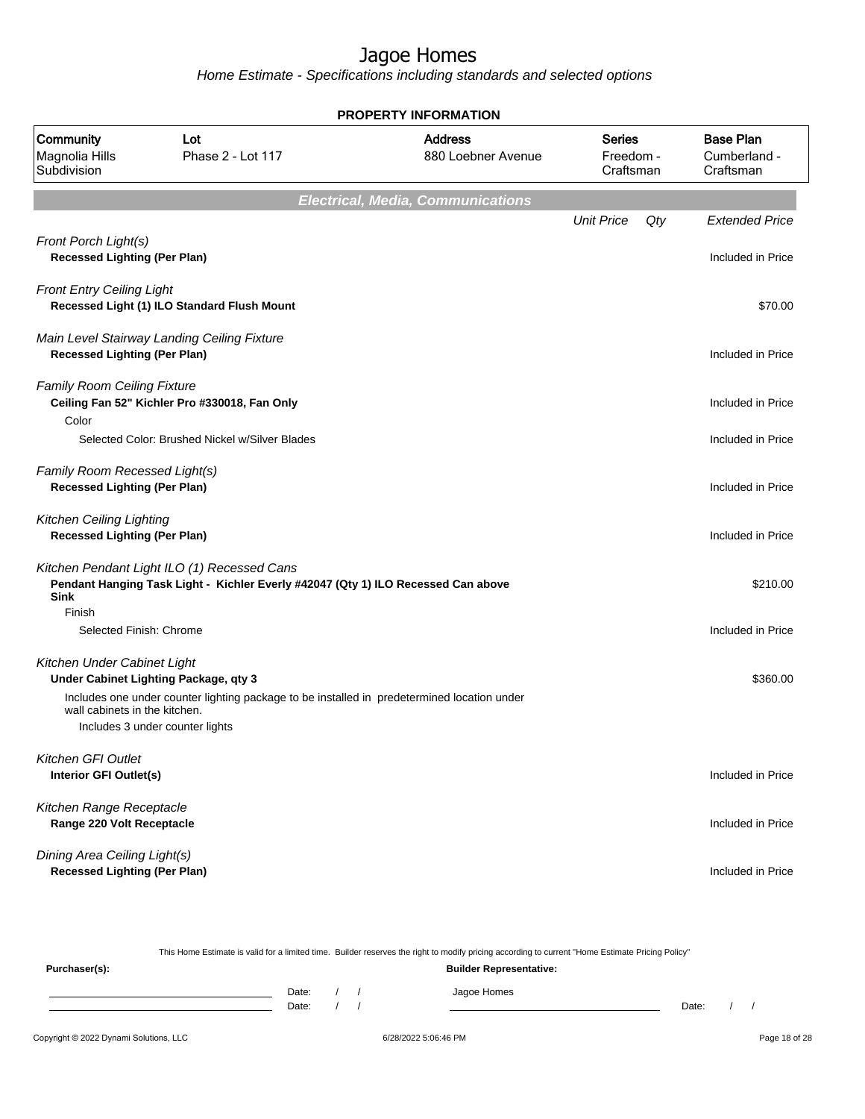Home Estimate - Specifications including standards and selected options

**Electrical, Media, Communications** Unit Price Qty Extended Price Front Porch Light(s) **Recessed Lighting (Per Plan) Included in Price** Front Entry Ceiling Light **Recessed Light (1) ILO Standard Flush Mount** \$70.00 Main Level Stairway Landing Ceiling Fixture **Recessed Lighting (Per Plan) Included in Price** Family Room Ceiling Fixture **Ceiling Fan 52" Kichler Pro #330018, Fan Only Included in Price 10 Authority Control in Price 10 Authority Control in Price 10 Authority Control in Price 10 Authority Control in Price 10 Authority Control in Price 10 Auth** Color Selected Color: Brushed Nickel w/Silver Blades Included in Price Included in Price Family Room Recessed Light(s) **Recessed Lighting (Per Plan) Included in Price** Kitchen Ceiling Lighting **Recessed Lighting (Per Plan)** Included in Price Kitchen Pendant Light ILO (1) Recessed Cans **Pendant Hanging Task Light - Kichler Everly #42047 (Qty 1) ILO Recessed Can above Sink** \$210.00 Finish Selected Finish: Chrome **Included in Price** Included in Price Kitchen Under Cabinet Light **Under Cabinet Lighting Package, qty 3**  $$360.00$ Includes one under counter lighting package to be installed in predetermined location under wall cabinets in the kitchen. Includes 3 under counter lights Kitchen GFI Outlet **Interior GFI Outlet(s)** Included in Price Kitchen Range Receptacle **Range 220 Volt Receptacle Included in Price** Dining Area Ceiling Light(s) **Recessed Lighting (Per Plan)** Included in Price **PROPERTY INFORMATION** Freedom - **Craftsman** Series 880 Loebner Avenue Address Magnolia Hills Phase 2 - Lot 117 Subdivision Community Lot Cumberland - Craftsman Base Plan

This Home Estimate is valid for a limited time. Builder reserves the right to modify pricing according to current "Home Estimate Pricing Policy" **Purchaser(s): Builder Representative:** Date: / / / Jagoe Homes Date: / / Date: / /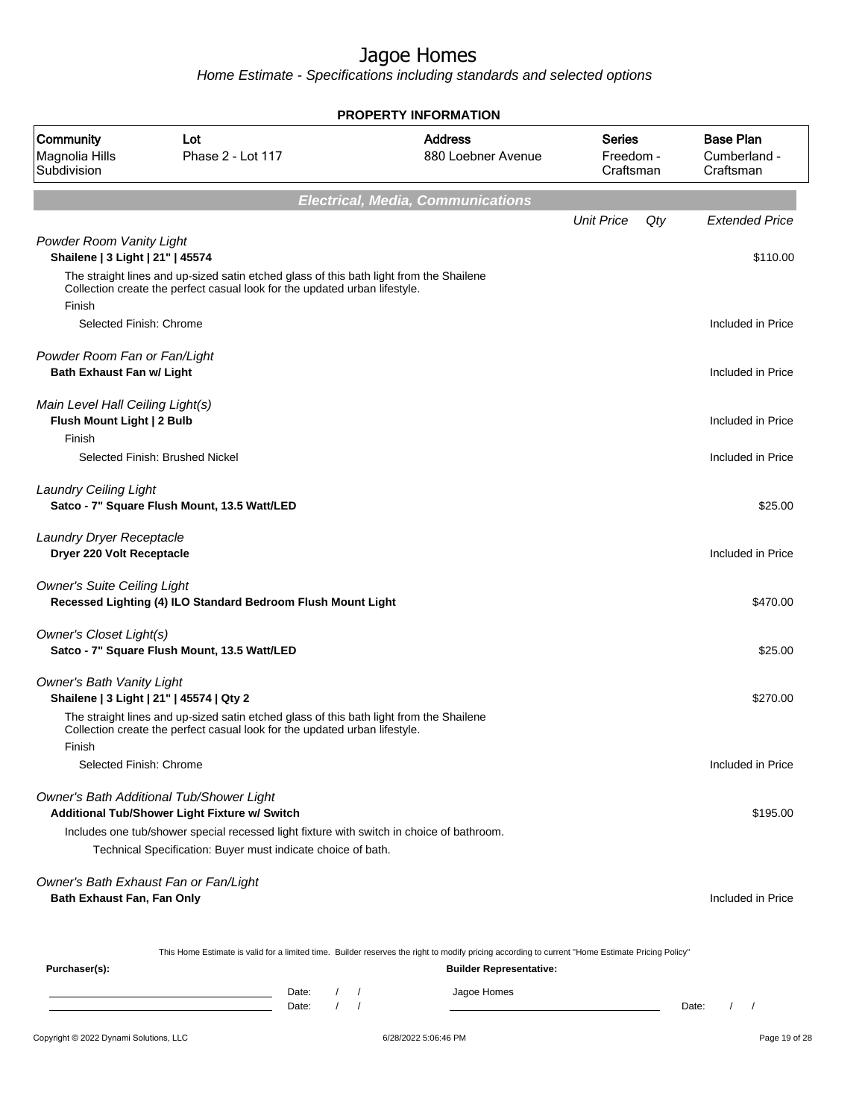|                                                                     | <b>PROPERTY INFORMATION</b>                                                                                                                                           |                              |                      |                                                                                                                                                  |                                         |     |                                               |  |
|---------------------------------------------------------------------|-----------------------------------------------------------------------------------------------------------------------------------------------------------------------|------------------------------|----------------------|--------------------------------------------------------------------------------------------------------------------------------------------------|-----------------------------------------|-----|-----------------------------------------------|--|
| Community<br>Magnolia Hills<br>Subdivision                          | Lot<br>Phase 2 - Lot 117                                                                                                                                              |                              |                      | <b>Address</b><br>880 Loebner Avenue                                                                                                             | <b>Series</b><br>Freedom -<br>Craftsman |     | <b>Base Plan</b><br>Cumberland -<br>Craftsman |  |
|                                                                     |                                                                                                                                                                       |                              |                      | <b>Electrical, Media, Communications</b>                                                                                                         |                                         |     |                                               |  |
|                                                                     |                                                                                                                                                                       |                              |                      |                                                                                                                                                  | <b>Unit Price</b>                       | Qty | <b>Extended Price</b>                         |  |
| Powder Room Vanity Light<br>Shailene   3 Light   21"   45574        |                                                                                                                                                                       |                              |                      |                                                                                                                                                  |                                         |     | \$110.00                                      |  |
|                                                                     | The straight lines and up-sized satin etched glass of this bath light from the Shailene<br>Collection create the perfect casual look for the updated urban lifestyle. |                              |                      |                                                                                                                                                  |                                         |     |                                               |  |
| Finish                                                              |                                                                                                                                                                       |                              |                      |                                                                                                                                                  |                                         |     |                                               |  |
| Selected Finish: Chrome                                             |                                                                                                                                                                       |                              |                      |                                                                                                                                                  |                                         |     | Included in Price                             |  |
| Powder Room Fan or Fan/Light<br><b>Bath Exhaust Fan w/ Light</b>    |                                                                                                                                                                       |                              |                      |                                                                                                                                                  |                                         |     | Included in Price                             |  |
| Main Level Hall Ceiling Light(s)<br>Flush Mount Light   2 Bulb      |                                                                                                                                                                       |                              |                      |                                                                                                                                                  |                                         |     | Included in Price                             |  |
| Finish                                                              |                                                                                                                                                                       |                              |                      |                                                                                                                                                  |                                         |     |                                               |  |
|                                                                     | Selected Finish: Brushed Nickel                                                                                                                                       |                              |                      |                                                                                                                                                  |                                         |     | Included in Price                             |  |
| <b>Laundry Ceiling Light</b>                                        | Satco - 7" Square Flush Mount, 13.5 Watt/LED                                                                                                                          |                              |                      |                                                                                                                                                  |                                         |     | \$25.00                                       |  |
| Laundry Dryer Receptacle<br>Dryer 220 Volt Receptacle               |                                                                                                                                                                       |                              |                      |                                                                                                                                                  |                                         |     | Included in Price                             |  |
| <b>Owner's Suite Ceiling Light</b>                                  | Recessed Lighting (4) ILO Standard Bedroom Flush Mount Light                                                                                                          |                              |                      |                                                                                                                                                  |                                         |     | \$470.00                                      |  |
| Owner's Closet Light(s)                                             | Satco - 7" Square Flush Mount, 13.5 Watt/LED                                                                                                                          |                              |                      |                                                                                                                                                  |                                         |     | \$25.00                                       |  |
| <b>Owner's Bath Vanity Light</b>                                    | Shailene   3 Light   21"   45574   Qty 2                                                                                                                              |                              |                      |                                                                                                                                                  |                                         |     | \$270.00                                      |  |
| Finish                                                              | The straight lines and up-sized satin etched glass of this bath light from the Shailene<br>Collection create the perfect casual look for the updated urban lifestyle. |                              |                      |                                                                                                                                                  |                                         |     |                                               |  |
| Selected Finish: Chrome                                             |                                                                                                                                                                       |                              |                      |                                                                                                                                                  |                                         |     | Included in Price                             |  |
|                                                                     | Owner's Bath Additional Tub/Shower Light<br>Additional Tub/Shower Light Fixture w/ Switch                                                                             |                              |                      |                                                                                                                                                  |                                         |     | \$195.00                                      |  |
|                                                                     | Includes one tub/shower special recessed light fixture with switch in choice of bathroom.                                                                             |                              |                      |                                                                                                                                                  |                                         |     |                                               |  |
|                                                                     | Technical Specification: Buyer must indicate choice of bath.                                                                                                          |                              |                      |                                                                                                                                                  |                                         |     |                                               |  |
| Owner's Bath Exhaust Fan or Fan/Light<br>Bath Exhaust Fan, Fan Only |                                                                                                                                                                       |                              |                      |                                                                                                                                                  |                                         |     | Included in Price                             |  |
|                                                                     |                                                                                                                                                                       |                              |                      | This Home Estimate is valid for a limited time. Builder reserves the right to modify pricing according to current "Home Estimate Pricing Policy" |                                         |     |                                               |  |
| Purchaser(s):                                                       |                                                                                                                                                                       |                              |                      | <b>Builder Representative:</b>                                                                                                                   |                                         |     |                                               |  |
|                                                                     |                                                                                                                                                                       | Date:<br>$\sqrt{ }$<br>Date: | $\prime$<br>$\prime$ | Jagoe Homes                                                                                                                                      |                                         |     | $\left  \right $<br>Date:                     |  |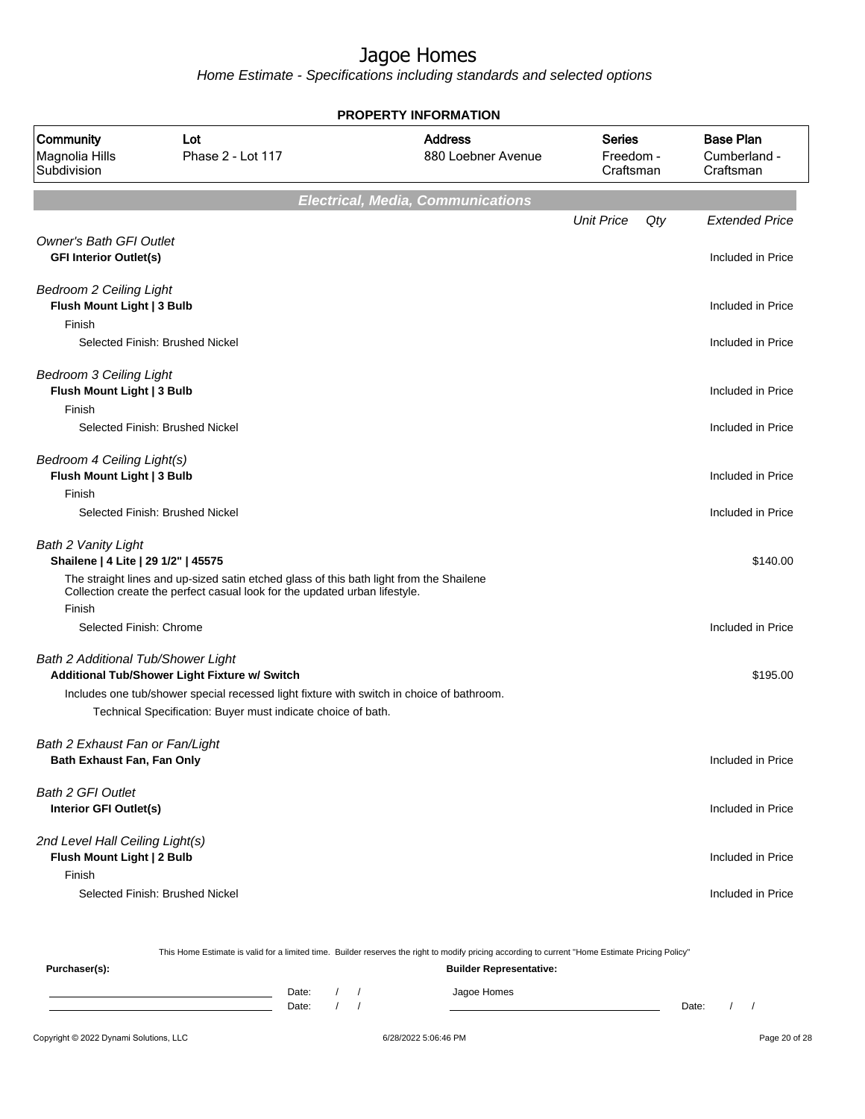Home Estimate - Specifications including standards and selected options

**Electrical, Media, Communications** Unit Price Qty Extended Price Owner's Bath GFI Outlet **GFI Interior Outlet(s)** Included in Price Bedroom 2 Ceiling Light **Flush Mount Light | 3 Bulb Included in Price** Finish Selected Finish: Brushed Nickel **Included in Price** Bedroom 3 Ceiling Light **Flush Mount Light | 3 Bulb Included in Price** Finish Selected Finish: Brushed Nickel Included in Price Bedroom 4 Ceiling Light(s) **Flush Mount Light | 3 Bulb Included in Price** Finish Selected Finish: Brushed Nickel Included in Price Bath 2 Vanity Light **Shailene | 4 Lite | 29 1/2" | 45575** \$140.00 The straight lines and up-sized satin etched glass of this bath light from the Shailene Collection create the perfect casual look for the updated urban lifestyle. Finish Selected Finish: Chrome **Included in Price** Bath 2 Additional Tub/Shower Light **Additional Tub/Shower Light Fixture w/ Switch \$195.00 and \$195.00 \$195.00 \$195.00 \$195.00 \$195.00 \$195.00 \$195.00 \$195.00 \$195.00 \$195.00 \$195.00 \$195.00 \$195.00 \$195.00 \$195.00 \$195.00 \$195.00 \$195.00 \$195.00 \$195.00 \$19** Includes one tub/shower special recessed light fixture with switch in choice of bathroom. Technical Specification: Buyer must indicate choice of bath. Bath 2 Exhaust Fan or Fan/Light **Bath Exhaust Fan, Fan Only Included in Price** Bath 2 GFI Outlet **Interior GFI Outlet(s)** Included in Price 2nd Level Hall Ceiling Light(s) **Flush Mount Light | 2 Bulb Included in Price** Finish Selected Finish: Brushed Nickel **Included in Price PROPERTY INFORMATION** Freedom - **Craftsman** Series 880 Loebner Avenue Address Magnolia Hills Phase 2 - Lot 117 Subdivision Community Lot Cumberland - Craftsman Base Plan

This Home Estimate is valid for a limited time. Builder reserves the right to modify pricing according to current "Home Estimate Pricing Policy" **Purchaser(s): Builder Representative:** Date: / / / Jagoe Homes Date: / / Date: / /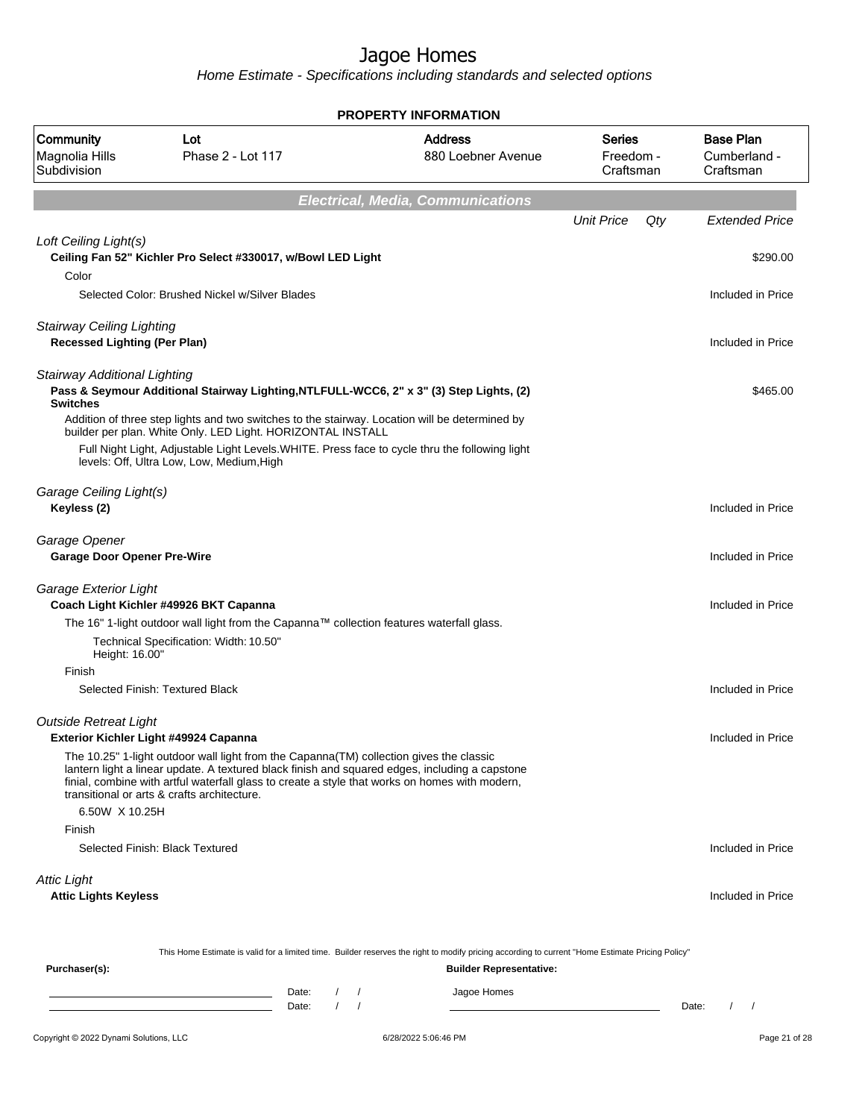| <b>PROPERTY INFORMATION</b>                                             |                                                                                                                                         |            |                        |                                                                                                                                                                                                  |                                         |     |                                               |  |
|-------------------------------------------------------------------------|-----------------------------------------------------------------------------------------------------------------------------------------|------------|------------------------|--------------------------------------------------------------------------------------------------------------------------------------------------------------------------------------------------|-----------------------------------------|-----|-----------------------------------------------|--|
| <b>Community</b><br>Magnolia Hills<br>Subdivision                       | Lot<br>Phase 2 - Lot 117                                                                                                                |            |                        | <b>Address</b><br>880 Loebner Avenue                                                                                                                                                             | <b>Series</b><br>Freedom -<br>Craftsman |     | <b>Base Plan</b><br>Cumberland -<br>Craftsman |  |
|                                                                         |                                                                                                                                         |            |                        | <b>Electrical, Media, Communications</b>                                                                                                                                                         |                                         |     |                                               |  |
|                                                                         |                                                                                                                                         |            |                        |                                                                                                                                                                                                  | <b>Unit Price</b>                       | Qty | <b>Extended Price</b>                         |  |
| Loft Ceiling Light(s)                                                   | Ceiling Fan 52" Kichler Pro Select #330017, w/Bowl LED Light                                                                            |            |                        |                                                                                                                                                                                                  |                                         |     | \$290.00                                      |  |
| Color                                                                   | Selected Color: Brushed Nickel w/Silver Blades                                                                                          |            |                        |                                                                                                                                                                                                  |                                         |     | Included in Price                             |  |
| <b>Stairway Ceiling Lighting</b><br><b>Recessed Lighting (Per Plan)</b> |                                                                                                                                         |            |                        |                                                                                                                                                                                                  |                                         |     | Included in Price                             |  |
| <b>Stairway Additional Lighting</b><br><b>Switches</b>                  |                                                                                                                                         |            |                        | Pass & Seymour Additional Stairway Lighting, NTLFULL-WCC6, 2" x 3" (3) Step Lights, (2)                                                                                                          |                                         |     | \$465.00                                      |  |
|                                                                         | builder per plan. White Only. LED Light. HORIZONTAL INSTALL                                                                             |            |                        | Addition of three step lights and two switches to the stairway. Location will be determined by                                                                                                   |                                         |     |                                               |  |
|                                                                         | levels: Off, Ultra Low, Low, Medium, High                                                                                               |            |                        | Full Night Light, Adjustable Light Levels. WHITE. Press face to cycle thru the following light                                                                                                   |                                         |     |                                               |  |
| Garage Ceiling Light(s)<br>Keyless (2)                                  |                                                                                                                                         |            |                        |                                                                                                                                                                                                  |                                         |     | Included in Price                             |  |
| Garage Opener<br><b>Garage Door Opener Pre-Wire</b>                     |                                                                                                                                         |            |                        |                                                                                                                                                                                                  |                                         |     | Included in Price                             |  |
| Garage Exterior Light                                                   | Coach Light Kichler #49926 BKT Capanna                                                                                                  |            |                        |                                                                                                                                                                                                  |                                         |     | Included in Price                             |  |
|                                                                         | The 16" 1-light outdoor wall light from the Capanna™ collection features waterfall glass.                                               |            |                        |                                                                                                                                                                                                  |                                         |     |                                               |  |
| Height: 16.00"                                                          | Technical Specification: Width: 10.50"                                                                                                  |            |                        |                                                                                                                                                                                                  |                                         |     |                                               |  |
| Finish                                                                  |                                                                                                                                         |            |                        |                                                                                                                                                                                                  |                                         |     |                                               |  |
|                                                                         | Selected Finish: Textured Black                                                                                                         |            |                        |                                                                                                                                                                                                  |                                         |     | Included in Price                             |  |
| <b>Outside Retreat Light</b>                                            | Exterior Kichler Light #49924 Capanna                                                                                                   |            |                        |                                                                                                                                                                                                  |                                         |     | Included in Price                             |  |
|                                                                         | The 10.25" 1-light outdoor wall light from the Capanna (TM) collection gives the classic<br>transitional or arts & crafts architecture. |            |                        | lantern light a linear update. A textured black finish and squared edges, including a capstone<br>finial, combine with artful waterfall glass to create a style that works on homes with modern, |                                         |     |                                               |  |
| 6.50W X 10.25H<br>Finish                                                |                                                                                                                                         |            |                        |                                                                                                                                                                                                  |                                         |     |                                               |  |
|                                                                         | Selected Finish: Black Textured                                                                                                         |            |                        |                                                                                                                                                                                                  |                                         |     | Included in Price                             |  |
| <b>Attic Light</b><br><b>Attic Lights Keyless</b>                       |                                                                                                                                         |            |                        |                                                                                                                                                                                                  |                                         |     | Included in Price                             |  |
|                                                                         |                                                                                                                                         |            |                        | This Home Estimate is valid for a limited time. Builder reserves the right to modify pricing according to current "Home Estimate Pricing Policy"                                                 |                                         |     |                                               |  |
| Purchaser(s):                                                           |                                                                                                                                         |            |                        | <b>Builder Representative:</b>                                                                                                                                                                   |                                         |     |                                               |  |
|                                                                         | Date:<br><u> 1980 - Johann Barn, mars ann an t-Amhain an t-Amhain an t-Amhain an t-Amhain an t-Amhain an t-Amhain an t-A</u><br>Date:   | $\sqrt{ }$ | $\prime$<br>$\sqrt{ }$ | Jagoe Homes                                                                                                                                                                                      |                                         |     | $\frac{1}{2}$<br>Date:                        |  |
|                                                                         |                                                                                                                                         |            |                        |                                                                                                                                                                                                  |                                         |     |                                               |  |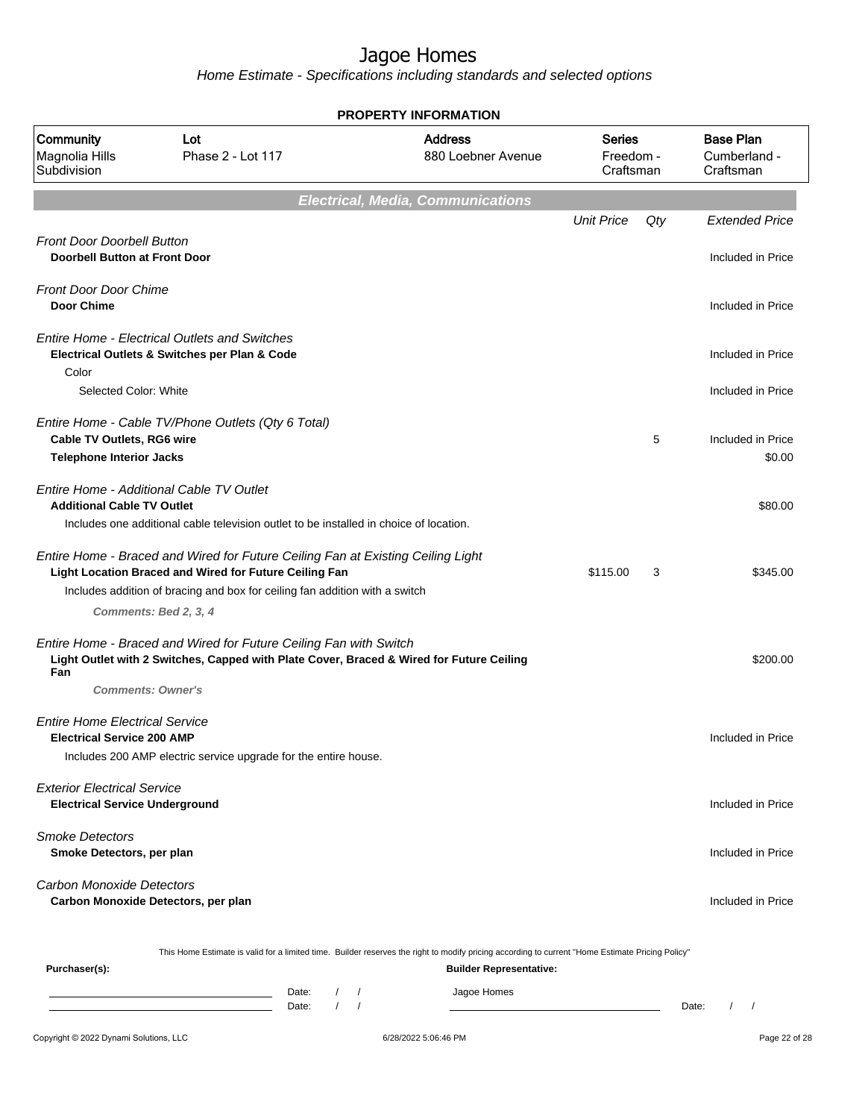|                                                                             |                                                                                                                                                                                                                          | <b>PROPERTY INFORMATION</b>                                                                                                                      |                                         |                                               |
|-----------------------------------------------------------------------------|--------------------------------------------------------------------------------------------------------------------------------------------------------------------------------------------------------------------------|--------------------------------------------------------------------------------------------------------------------------------------------------|-----------------------------------------|-----------------------------------------------|
| <b>Community</b><br>Magnolia Hills<br>Subdivision                           | Lot<br>Phase 2 - Lot 117                                                                                                                                                                                                 | <b>Address</b><br>880 Loebner Avenue                                                                                                             | <b>Series</b><br>Freedom -<br>Craftsman | <b>Base Plan</b><br>Cumberland -<br>Craftsman |
|                                                                             |                                                                                                                                                                                                                          | <b>Electrical, Media, Communications</b>                                                                                                         |                                         |                                               |
| <b>Front Door Doorbell Button</b><br>Doorbell Button at Front Door          |                                                                                                                                                                                                                          |                                                                                                                                                  | <b>Unit Price</b><br>Qty                | <b>Extended Price</b><br>Included in Price    |
| <b>Front Door Door Chime</b><br><b>Door Chime</b>                           |                                                                                                                                                                                                                          |                                                                                                                                                  |                                         | Included in Price                             |
| Color                                                                       | <b>Entire Home - Electrical Outlets and Switches</b><br>Electrical Outlets & Switches per Plan & Code                                                                                                                    |                                                                                                                                                  |                                         | Included in Price                             |
| Selected Color: White                                                       |                                                                                                                                                                                                                          |                                                                                                                                                  |                                         | Included in Price                             |
| Cable TV Outlets, RG6 wire<br><b>Telephone Interior Jacks</b>               | Entire Home - Cable TV/Phone Outlets (Qty 6 Total)                                                                                                                                                                       |                                                                                                                                                  | 5                                       | Included in Price<br>\$0.00                   |
| <b>Additional Cable TV Outlet</b>                                           | Entire Home - Additional Cable TV Outlet<br>Includes one additional cable television outlet to be installed in choice of location.                                                                                       |                                                                                                                                                  |                                         | \$80.00                                       |
|                                                                             | Entire Home - Braced and Wired for Future Ceiling Fan at Existing Ceiling Light<br>Light Location Braced and Wired for Future Ceiling Fan<br>Includes addition of bracing and box for ceiling fan addition with a switch |                                                                                                                                                  | \$115.00<br>3                           | \$345.00                                      |
| Fan                                                                         | Comments: Bed 2, 3, 4<br>Entire Home - Braced and Wired for Future Ceiling Fan with Switch<br>Light Outlet with 2 Switches, Capped with Plate Cover, Braced & Wired for Future Ceiling<br><b>Comments: Owner's</b>       |                                                                                                                                                  |                                         | \$200.00                                      |
| <b>Entire Home Electrical Service</b><br><b>Electrical Service 200 AMP</b>  | Includes 200 AMP electric service upgrade for the entire house.                                                                                                                                                          |                                                                                                                                                  |                                         | Included in Price                             |
| <b>Exterior Electrical Service</b><br><b>Electrical Service Underground</b> |                                                                                                                                                                                                                          |                                                                                                                                                  |                                         | Included in Price                             |
| <b>Smoke Detectors</b><br>Smoke Detectors, per plan                         |                                                                                                                                                                                                                          |                                                                                                                                                  |                                         | Included in Price                             |
| <b>Carbon Monoxide Detectors</b>                                            | Carbon Monoxide Detectors, per plan                                                                                                                                                                                      |                                                                                                                                                  |                                         | Included in Price                             |
|                                                                             |                                                                                                                                                                                                                          | This Home Estimate is valid for a limited time. Builder reserves the right to modify pricing according to current "Home Estimate Pricing Policy" |                                         |                                               |
| Purchaser(s):                                                               | Date:<br>$\sqrt{ }$<br>Date:                                                                                                                                                                                             | <b>Builder Representative:</b><br>Jagoe Homes<br>$\sqrt{ }$                                                                                      |                                         | $\frac{1}{2}$<br>Date:                        |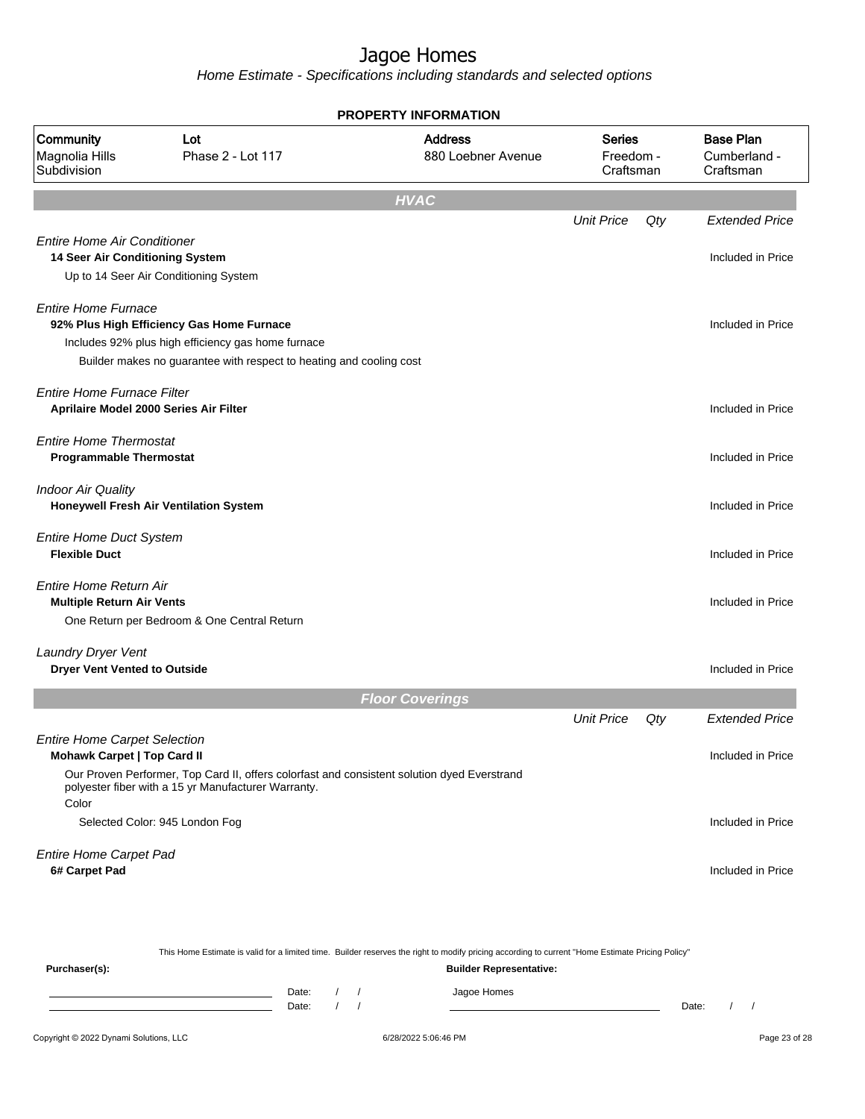|                                                                           |                                                                                                                                                                        | <b>PROPERTY INFORMATION</b>          |                                         |     |                                               |
|---------------------------------------------------------------------------|------------------------------------------------------------------------------------------------------------------------------------------------------------------------|--------------------------------------|-----------------------------------------|-----|-----------------------------------------------|
| Community<br>Magnolia Hills<br>Subdivision                                | Lot<br>Phase 2 - Lot 117                                                                                                                                               | <b>Address</b><br>880 Loebner Avenue | <b>Series</b><br>Freedom -<br>Craftsman |     | <b>Base Plan</b><br>Cumberland -<br>Craftsman |
|                                                                           |                                                                                                                                                                        | <b>HVAC</b>                          |                                         |     |                                               |
|                                                                           |                                                                                                                                                                        |                                      | <b>Unit Price</b>                       | Qty | <b>Extended Price</b>                         |
| <b>Entire Home Air Conditioner</b><br>14 Seer Air Conditioning System     | Up to 14 Seer Air Conditioning System                                                                                                                                  |                                      |                                         |     | Included in Price                             |
| <b>Entire Home Furnace</b>                                                | 92% Plus High Efficiency Gas Home Furnace<br>Includes 92% plus high efficiency gas home furnace<br>Builder makes no guarantee with respect to heating and cooling cost |                                      |                                         |     | Included in Price                             |
| <b>Entire Home Furnace Filter</b>                                         | Aprilaire Model 2000 Series Air Filter                                                                                                                                 |                                      |                                         |     | Included in Price                             |
| <b>Entire Home Thermostat</b><br><b>Programmable Thermostat</b>           |                                                                                                                                                                        |                                      |                                         |     | Included in Price                             |
| <b>Indoor Air Quality</b>                                                 | Honeywell Fresh Air Ventilation System                                                                                                                                 |                                      |                                         |     | Included in Price                             |
| <b>Entire Home Duct System</b><br><b>Flexible Duct</b>                    |                                                                                                                                                                        |                                      |                                         |     | Included in Price                             |
| Entire Home Return Air<br><b>Multiple Return Air Vents</b>                | One Return per Bedroom & One Central Return                                                                                                                            |                                      |                                         |     | Included in Price                             |
| Laundry Dryer Vent<br><b>Dryer Vent Vented to Outside</b>                 |                                                                                                                                                                        |                                      |                                         |     | Included in Price                             |
|                                                                           |                                                                                                                                                                        | <b>Floor Coverings</b>               |                                         |     |                                               |
|                                                                           |                                                                                                                                                                        |                                      | <b>Unit Price</b>                       | Qty | <b>Extended Price</b>                         |
| <b>Entire Home Carpet Selection</b><br><b>Mohawk Carpet   Top Card II</b> | Our Proven Performer, Top Card II, offers colorfast and consistent solution dyed Everstrand<br>polyester fiber with a 15 yr Manufacturer Warranty.                     |                                      |                                         |     | Included in Price                             |
| Color                                                                     | Selected Color: 945 London Fog                                                                                                                                         |                                      |                                         |     | Included in Price                             |
| <b>Entire Home Carpet Pad</b><br>6# Carpet Pad                            |                                                                                                                                                                        |                                      |                                         |     | Included in Price                             |
|                                                                           |                                                                                                                                                                        |                                      |                                         |     |                                               |

|               |       |                                |  | This Home Estimate is valid for a limited time. Builder reserves the right to modify pricing according to current "Home Estimate Pricing Policy" |       |  |  |  |  |  |  |
|---------------|-------|--------------------------------|--|--------------------------------------------------------------------------------------------------------------------------------------------------|-------|--|--|--|--|--|--|
| Purchaser(s): |       | <b>Builder Representative:</b> |  |                                                                                                                                                  |       |  |  |  |  |  |  |
|               | Date: |                                |  | Jagoe Homes                                                                                                                                      |       |  |  |  |  |  |  |
|               | Date: |                                |  |                                                                                                                                                  | Date: |  |  |  |  |  |  |
|               |       |                                |  |                                                                                                                                                  |       |  |  |  |  |  |  |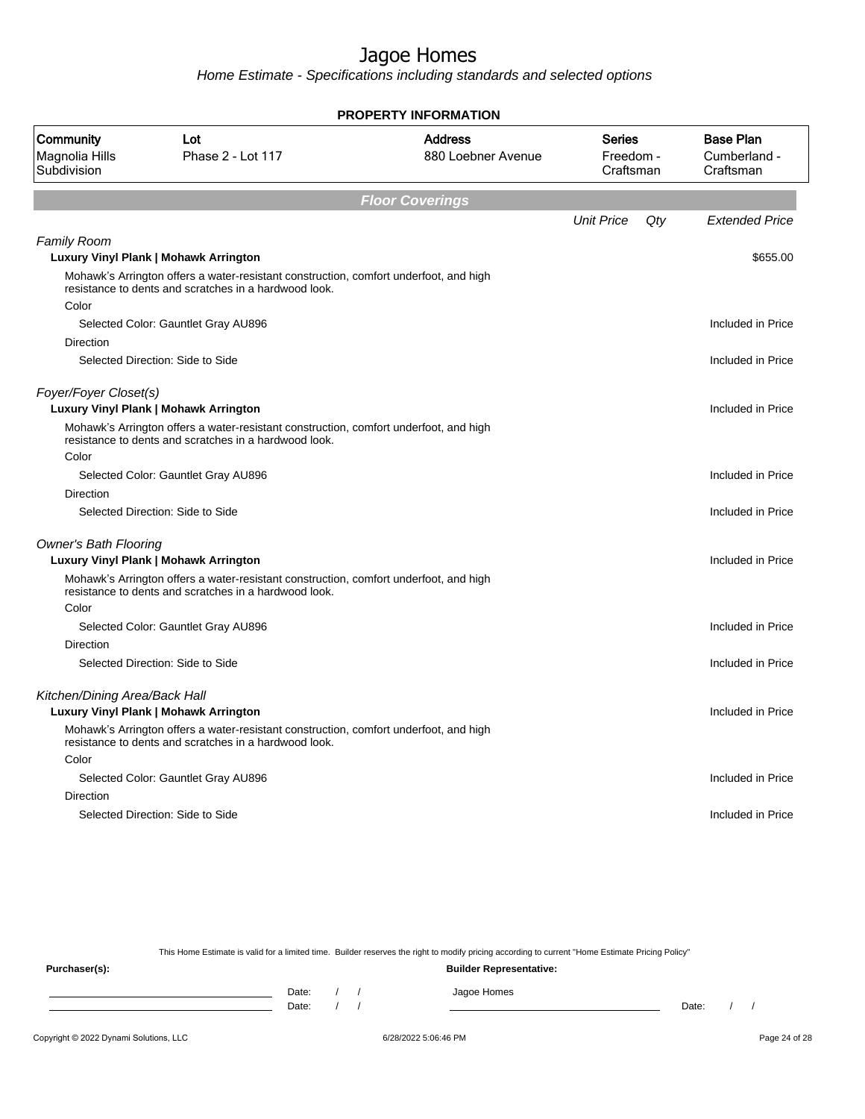Home Estimate - Specifications including standards and selected options

| <b>PROPERTY INFORMATION</b>                |                                                                                                                                                |                                      |                                  |     |                                               |  |  |  |
|--------------------------------------------|------------------------------------------------------------------------------------------------------------------------------------------------|--------------------------------------|----------------------------------|-----|-----------------------------------------------|--|--|--|
| Community<br>Magnolia Hills<br>Subdivision | Lot<br>Phase 2 - Lot 117                                                                                                                       | <b>Address</b><br>880 Loebner Avenue | Series<br>Freedom -<br>Craftsman |     | <b>Base Plan</b><br>Cumberland -<br>Craftsman |  |  |  |
|                                            |                                                                                                                                                | <b>Floor Coverings</b>               |                                  |     |                                               |  |  |  |
|                                            |                                                                                                                                                |                                      | <b>Unit Price</b>                | Qty | <b>Extended Price</b>                         |  |  |  |
| <b>Family Room</b>                         |                                                                                                                                                |                                      |                                  |     |                                               |  |  |  |
|                                            | Luxury Vinyl Plank   Mohawk Arrington<br>Mohawk's Arrington offers a water-resistant construction, comfort underfoot, and high                 |                                      |                                  |     | \$655.00                                      |  |  |  |
|                                            | resistance to dents and scratches in a hardwood look.                                                                                          |                                      |                                  |     |                                               |  |  |  |
| Color                                      |                                                                                                                                                |                                      |                                  |     |                                               |  |  |  |
|                                            | Selected Color: Gauntlet Gray AU896                                                                                                            |                                      |                                  |     | Included in Price                             |  |  |  |
| Direction                                  |                                                                                                                                                |                                      |                                  |     |                                               |  |  |  |
|                                            | Selected Direction: Side to Side                                                                                                               |                                      |                                  |     | Included in Price                             |  |  |  |
| Foyer/Foyer Closet(s)                      |                                                                                                                                                |                                      |                                  |     |                                               |  |  |  |
|                                            | <b>Luxury Vinyl Plank   Mohawk Arrington</b>                                                                                                   |                                      |                                  |     | Included in Price                             |  |  |  |
|                                            | Mohawk's Arrington offers a water-resistant construction, comfort underfoot, and high<br>resistance to dents and scratches in a hardwood look. |                                      |                                  |     |                                               |  |  |  |
| Color                                      |                                                                                                                                                |                                      |                                  |     |                                               |  |  |  |
|                                            | Selected Color: Gauntlet Gray AU896                                                                                                            |                                      |                                  |     | Included in Price                             |  |  |  |
| Direction                                  |                                                                                                                                                |                                      |                                  |     |                                               |  |  |  |
|                                            | Selected Direction: Side to Side                                                                                                               |                                      |                                  |     | Included in Price                             |  |  |  |
| <b>Owner's Bath Flooring</b>               |                                                                                                                                                |                                      |                                  |     |                                               |  |  |  |
|                                            | Luxury Vinyl Plank   Mohawk Arrington                                                                                                          |                                      |                                  |     | Included in Price                             |  |  |  |
|                                            | Mohawk's Arrington offers a water-resistant construction, comfort underfoot, and high<br>resistance to dents and scratches in a hardwood look. |                                      |                                  |     |                                               |  |  |  |
| Color                                      |                                                                                                                                                |                                      |                                  |     |                                               |  |  |  |
|                                            | Selected Color: Gauntlet Gray AU896                                                                                                            |                                      |                                  |     | Included in Price                             |  |  |  |
| Direction                                  |                                                                                                                                                |                                      |                                  |     |                                               |  |  |  |
|                                            | Selected Direction: Side to Side                                                                                                               |                                      |                                  |     | Included in Price                             |  |  |  |
| Kitchen/Dining Area/Back Hall              |                                                                                                                                                |                                      |                                  |     |                                               |  |  |  |
|                                            | Luxury Vinyl Plank   Mohawk Arrington                                                                                                          |                                      |                                  |     | Included in Price                             |  |  |  |
|                                            | Mohawk's Arrington offers a water-resistant construction, comfort underfoot, and high<br>resistance to dents and scratches in a hardwood look. |                                      |                                  |     |                                               |  |  |  |
| Color                                      |                                                                                                                                                |                                      |                                  |     |                                               |  |  |  |
|                                            | Selected Color: Gauntlet Gray AU896                                                                                                            |                                      |                                  |     | Included in Price                             |  |  |  |
| Direction                                  |                                                                                                                                                |                                      |                                  |     |                                               |  |  |  |
|                                            | Selected Direction: Side to Side                                                                                                               |                                      |                                  |     | Included in Price                             |  |  |  |
|                                            |                                                                                                                                                |                                      |                                  |     |                                               |  |  |  |

This Home Estimate is valid for a limited time. Builder reserves the right to modify pricing according to current "Home Estimate Pricing Policy"

**Purchaser(s): Builder Representative:** Date: / / Jagoe Homes<br>Date: / / Jagoe Homes Date: / / **Date: / / 2006** Date: / / / Date: / / /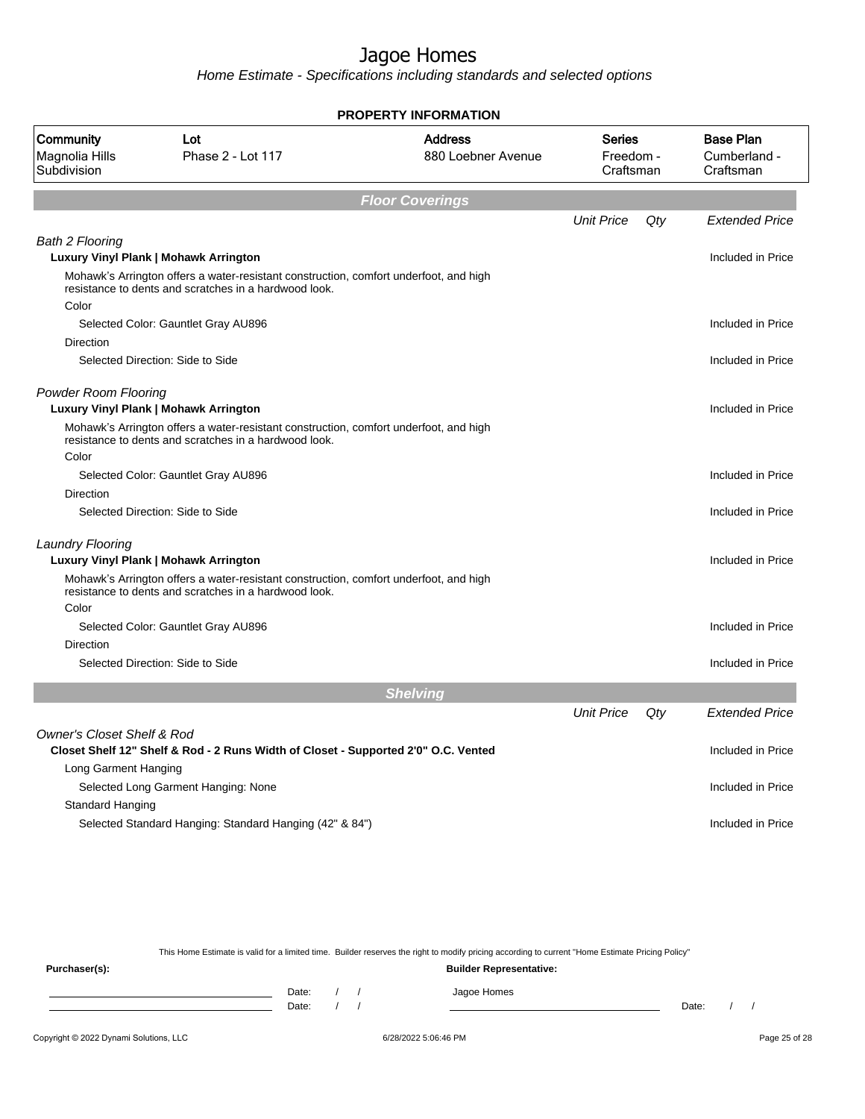Home Estimate - Specifications including standards and selected options

|                                            |                                                                                                                                                | <b>PROPERTY INFORMATION</b>          |                                         |     |                                               |
|--------------------------------------------|------------------------------------------------------------------------------------------------------------------------------------------------|--------------------------------------|-----------------------------------------|-----|-----------------------------------------------|
| Community<br>Magnolia Hills<br>Subdivision | Lot<br>Phase 2 - Lot 117                                                                                                                       | <b>Address</b><br>880 Loebner Avenue | <b>Series</b><br>Freedom -<br>Craftsman |     | <b>Base Plan</b><br>Cumberland -<br>Craftsman |
|                                            |                                                                                                                                                | <b>Floor Coverings</b>               |                                         |     |                                               |
|                                            |                                                                                                                                                |                                      | <b>Unit Price</b>                       | Qty | <b>Extended Price</b>                         |
| <b>Bath 2 Flooring</b>                     |                                                                                                                                                |                                      |                                         |     |                                               |
|                                            | Luxury Vinyl Plank   Mohawk Arrington                                                                                                          |                                      |                                         |     | Included in Price                             |
|                                            | Mohawk's Arrington offers a water-resistant construction, comfort underfoot, and high<br>resistance to dents and scratches in a hardwood look. |                                      |                                         |     |                                               |
| Color                                      |                                                                                                                                                |                                      |                                         |     |                                               |
|                                            | Selected Color: Gauntlet Gray AU896                                                                                                            |                                      |                                         |     | Included in Price                             |
| Direction                                  |                                                                                                                                                |                                      |                                         |     |                                               |
|                                            | Selected Direction: Side to Side                                                                                                               |                                      |                                         |     | Included in Price                             |
| <b>Powder Room Flooring</b>                | Luxury Vinyl Plank   Mohawk Arrington                                                                                                          |                                      |                                         |     | Included in Price                             |
|                                            | Mohawk's Arrington offers a water-resistant construction, comfort underfoot, and high<br>resistance to dents and scratches in a hardwood look. |                                      |                                         |     |                                               |
| Color                                      |                                                                                                                                                |                                      |                                         |     |                                               |
|                                            | Selected Color: Gauntlet Gray AU896                                                                                                            |                                      |                                         |     | Included in Price                             |
| <b>Direction</b>                           |                                                                                                                                                |                                      |                                         |     |                                               |
|                                            | Selected Direction: Side to Side                                                                                                               |                                      |                                         |     | Included in Price                             |
| <b>Laundry Flooring</b>                    |                                                                                                                                                |                                      |                                         |     |                                               |
|                                            | Luxury Vinyl Plank   Mohawk Arrington                                                                                                          |                                      |                                         |     | Included in Price                             |
|                                            | Mohawk's Arrington offers a water-resistant construction, comfort underfoot, and high<br>resistance to dents and scratches in a hardwood look. |                                      |                                         |     |                                               |
| Color                                      |                                                                                                                                                |                                      |                                         |     |                                               |
|                                            | Selected Color: Gauntlet Gray AU896                                                                                                            |                                      |                                         |     | Included in Price                             |
| Direction                                  |                                                                                                                                                |                                      |                                         |     |                                               |
|                                            | Selected Direction: Side to Side                                                                                                               |                                      |                                         |     | Included in Price                             |
|                                            |                                                                                                                                                | <b>Shelving</b>                      |                                         |     |                                               |
|                                            |                                                                                                                                                |                                      | <b>Unit Price</b>                       | Qty | <b>Extended Price</b>                         |
| <b>Owner's Closet Shelf &amp; Rod</b>      |                                                                                                                                                |                                      |                                         |     |                                               |
|                                            | Closet Shelf 12" Shelf & Rod - 2 Runs Width of Closet - Supported 2'0" O.C. Vented                                                             |                                      |                                         |     | Included in Price                             |
| Long Garment Hanging                       |                                                                                                                                                |                                      |                                         |     |                                               |
|                                            | Selected Long Garment Hanging: None                                                                                                            |                                      |                                         |     | Included in Price                             |
| <b>Standard Hanging</b>                    |                                                                                                                                                |                                      |                                         |     |                                               |
|                                            | Selected Standard Hanging: Standard Hanging (42" & 84")                                                                                        |                                      |                                         |     | Included in Price                             |

This Home Estimate is valid for a limited time. Builder reserves the right to modify pricing according to current "Home Estimate Pricing Policy"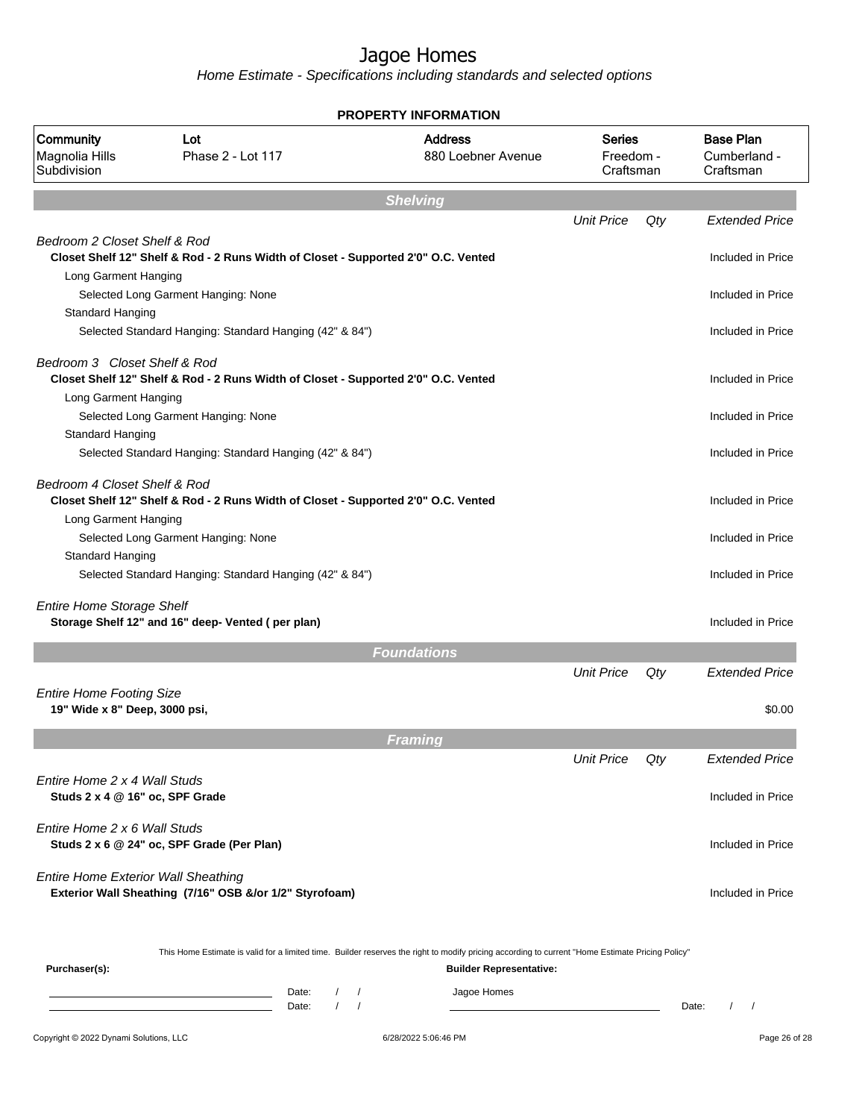|                                                                  |                                                                                                                                                                   | PROPERTY INFORMATION                                                                                                                                                               |                                  |        |                                               |
|------------------------------------------------------------------|-------------------------------------------------------------------------------------------------------------------------------------------------------------------|------------------------------------------------------------------------------------------------------------------------------------------------------------------------------------|----------------------------------|--------|-----------------------------------------------|
| Community<br>Magnolia Hills<br>Subdivision                       | Lot<br>Phase 2 - Lot 117                                                                                                                                          | <b>Address</b><br>880 Loebner Avenue                                                                                                                                               | Series<br>Freedom -<br>Craftsman |        | <b>Base Plan</b><br>Cumberland -<br>Craftsman |
|                                                                  |                                                                                                                                                                   | <b>Shelving</b>                                                                                                                                                                    |                                  |        |                                               |
|                                                                  |                                                                                                                                                                   |                                                                                                                                                                                    | <b>Unit Price</b>                | Qty    | <b>Extended Price</b>                         |
| Bedroom 2 Closet Shelf & Rod                                     | Closet Shelf 12" Shelf & Rod - 2 Runs Width of Closet - Supported 2'0" O.C. Vented                                                                                |                                                                                                                                                                                    |                                  |        | Included in Price                             |
| Long Garment Hanging<br>Standard Hanging                         | Selected Long Garment Hanging: None                                                                                                                               |                                                                                                                                                                                    |                                  |        | Included in Price                             |
|                                                                  | Selected Standard Hanging: Standard Hanging (42" & 84")                                                                                                           |                                                                                                                                                                                    |                                  |        | Included in Price                             |
| Bedroom 3 Closet Shelf & Rod<br>Long Garment Hanging             | Closet Shelf 12" Shelf & Rod - 2 Runs Width of Closet - Supported 2'0" O.C. Vented                                                                                |                                                                                                                                                                                    |                                  |        | Included in Price                             |
| Standard Hanging                                                 | Selected Long Garment Hanging: None                                                                                                                               |                                                                                                                                                                                    |                                  |        | Included in Price                             |
|                                                                  | Selected Standard Hanging: Standard Hanging (42" & 84")                                                                                                           |                                                                                                                                                                                    |                                  |        | Included in Price                             |
| Bedroom 4 Closet Shelf & Rod<br>Long Garment Hanging             | Closet Shelf 12" Shelf & Rod - 2 Runs Width of Closet - Supported 2'0" O.C. Vented                                                                                |                                                                                                                                                                                    |                                  |        | Included in Price                             |
|                                                                  | Selected Long Garment Hanging: None                                                                                                                               |                                                                                                                                                                                    |                                  |        | Included in Price                             |
| Standard Hanging                                                 | Selected Standard Hanging: Standard Hanging (42" & 84")                                                                                                           |                                                                                                                                                                                    |                                  |        | Included in Price                             |
| <b>Entire Home Storage Shelf</b>                                 | Storage Shelf 12" and 16" deep- Vented (per plan)                                                                                                                 |                                                                                                                                                                                    |                                  |        | Included in Price                             |
|                                                                  |                                                                                                                                                                   | <b>Foundations</b>                                                                                                                                                                 |                                  |        |                                               |
| <b>Entire Home Footing Size</b><br>19" Wide x 8" Deep, 3000 psi, |                                                                                                                                                                   |                                                                                                                                                                                    | <b>Unit Price</b>                | Qty    | <b>Extended Price</b><br>\$0.00               |
|                                                                  |                                                                                                                                                                   |                                                                                                                                                                                    |                                  |        |                                               |
|                                                                  |                                                                                                                                                                   | Framing                                                                                                                                                                            | <b>Unit Price</b>                | $Q$ ty | <b>Extended Price</b>                         |
| Fntire Home 2 x 4 Wall Studs<br>Studs 2 x 4 @ 16" oc, SPF Grade  |                                                                                                                                                                   |                                                                                                                                                                                    |                                  |        | Included in Price                             |
| Entire Home 2 x 6 Wall Studs                                     | Studs 2 x 6 @ 24" oc, SPF Grade (Per Plan)                                                                                                                        |                                                                                                                                                                                    |                                  |        | Included in Price                             |
| <b>Entire Home Exterior Wall Sheathing</b>                       | Exterior Wall Sheathing (7/16" OSB &/or 1/2" Styrofoam)                                                                                                           |                                                                                                                                                                                    |                                  |        | Included in Price                             |
| Purchaser(s):                                                    |                                                                                                                                                                   | This Home Estimate is valid for a limited time. Builder reserves the right to modify pricing according to current "Home Estimate Pricing Policy"<br><b>Builder Representative:</b> |                                  |        |                                               |
|                                                                  | Date:<br>$\sqrt{2}$<br><u> 1989 - Johann Barn, mars ann an t-Amhair an t-Amhair an t-Amhair an t-Amhair an t-Amhair an t-Amhair an t-Amh</u><br>$\prime$<br>Date: | Jagoe Homes<br>$\sqrt{ }$<br>$\sqrt{ }$                                                                                                                                            |                                  |        | $\prime$<br>Date:<br>$\sqrt{2}$               |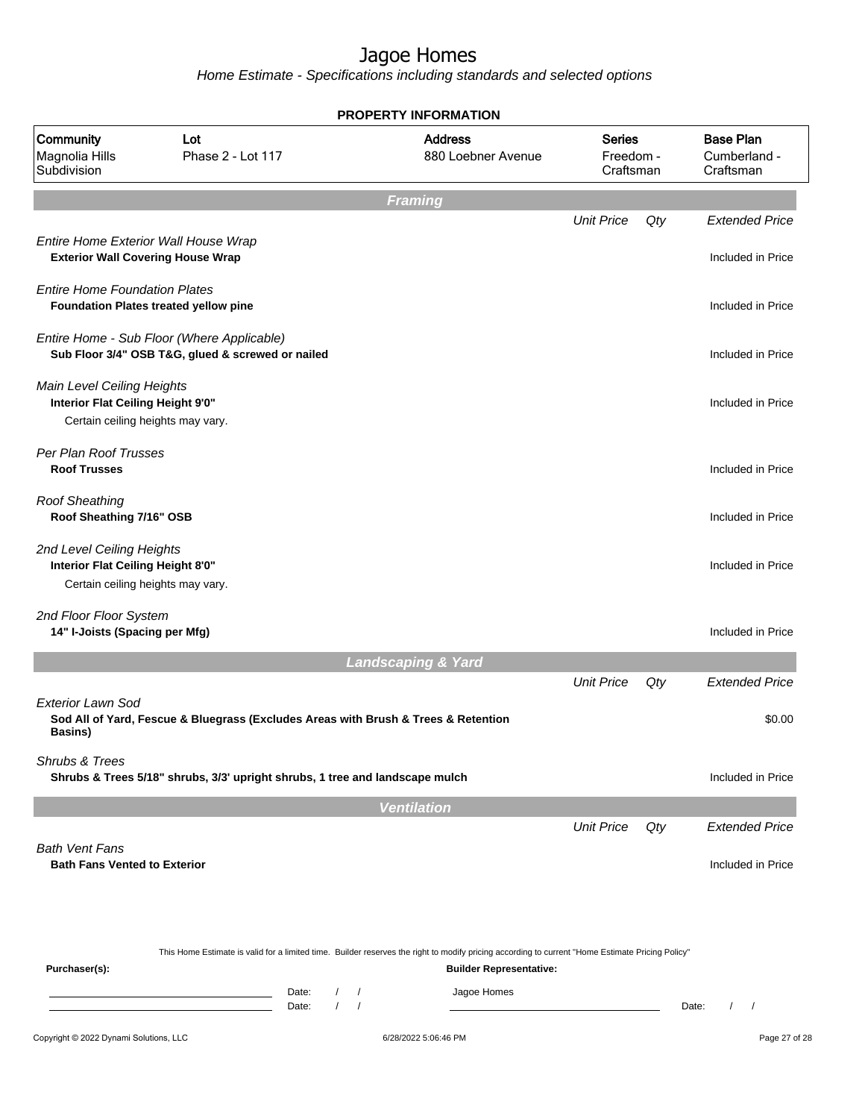|                                                                                                      |                                                                                                                                                                    | <b>PROPERTY INFORMATION</b>                                                                                                                                                                |                                               |                                         |       |                                                      |
|------------------------------------------------------------------------------------------------------|--------------------------------------------------------------------------------------------------------------------------------------------------------------------|--------------------------------------------------------------------------------------------------------------------------------------------------------------------------------------------|-----------------------------------------------|-----------------------------------------|-------|------------------------------------------------------|
| Community<br>Magnolia Hills<br>Subdivision                                                           | Lot<br>Phase 2 - Lot 117                                                                                                                                           |                                                                                                                                                                                            | <b>Address</b><br>880 Loebner Avenue          | <b>Series</b><br>Freedom -<br>Craftsman |       | <b>Base Plan</b><br>Cumberland -<br>Craftsman        |
|                                                                                                      |                                                                                                                                                                    | <b>Framing</b>                                                                                                                                                                             |                                               |                                         |       |                                                      |
| <b>Exterior Wall Covering House Wrap</b>                                                             | Entire Home Exterior Wall House Wrap                                                                                                                               |                                                                                                                                                                                            |                                               | <b>Unit Price</b>                       | Qty   | <b>Extended Price</b><br>Included in Price           |
| <b>Entire Home Foundation Plates</b>                                                                 | Foundation Plates treated yellow pine                                                                                                                              |                                                                                                                                                                                            |                                               |                                         |       | Included in Price                                    |
|                                                                                                      | Entire Home - Sub Floor (Where Applicable)<br>Sub Floor 3/4" OSB T&G, glued & screwed or nailed                                                                    |                                                                                                                                                                                            |                                               |                                         |       | Included in Price                                    |
| Main Level Ceiling Heights<br>Interior Flat Ceiling Height 9'0"<br>Certain ceiling heights may vary. |                                                                                                                                                                    |                                                                                                                                                                                            |                                               |                                         |       | Included in Price                                    |
| Per Plan Roof Trusses<br><b>Roof Trusses</b>                                                         |                                                                                                                                                                    |                                                                                                                                                                                            |                                               |                                         |       | Included in Price                                    |
| <b>Roof Sheathing</b><br>Roof Sheathing 7/16" OSB                                                    |                                                                                                                                                                    |                                                                                                                                                                                            |                                               |                                         |       | Included in Price                                    |
| 2nd Level Ceiling Heights<br>Interior Flat Ceiling Height 8'0"<br>Certain ceiling heights may vary.  |                                                                                                                                                                    |                                                                                                                                                                                            |                                               |                                         |       | Included in Price                                    |
| 2nd Floor Floor System<br>14" I-Joists (Spacing per Mfg)                                             |                                                                                                                                                                    |                                                                                                                                                                                            |                                               |                                         |       | Included in Price                                    |
|                                                                                                      |                                                                                                                                                                    | <b>Landscaping &amp; Yard</b>                                                                                                                                                              |                                               |                                         |       |                                                      |
| <b>Exterior Lawn Sod</b><br>Basins)<br>Shrubs & Trees                                                | Sod All of Yard, Fescue & Bluegrass (Excludes Areas with Brush & Trees & Retention<br>Shrubs & Trees 5/18" shrubs, 3/3' upright shrubs, 1 tree and landscape mulch |                                                                                                                                                                                            |                                               | <b>Unit Price</b>                       | Qty   | <b>Extended Price</b><br>\$0.00<br>Included in Price |
|                                                                                                      |                                                                                                                                                                    |                                                                                                                                                                                            |                                               |                                         |       |                                                      |
|                                                                                                      |                                                                                                                                                                    | <b>Ventilation</b>                                                                                                                                                                         |                                               | <b>Unit Price</b>                       | Qty   | <b>Extended Price</b>                                |
| <b>Bath Vent Fans</b><br><b>Bath Fans Vented to Exterior</b>                                         |                                                                                                                                                                    |                                                                                                                                                                                            |                                               |                                         |       | Included in Price                                    |
| Purchaser(s):                                                                                        |                                                                                                                                                                    | This Home Estimate is valid for a limited time. Builder reserves the right to modify pricing according to current "Home Estimate Pricing Policy"<br>Date:<br>$\prime$<br>$\prime$<br>Date: | <b>Builder Representative:</b><br>Jagoe Homes |                                         | Date: | $\prime$<br>$\prime$                                 |
| Copyright © 2022 Dynami Solutions, LLC                                                               |                                                                                                                                                                    | 6/28/2022 5:06:46 PM                                                                                                                                                                       |                                               |                                         |       | Page 27 of 28                                        |